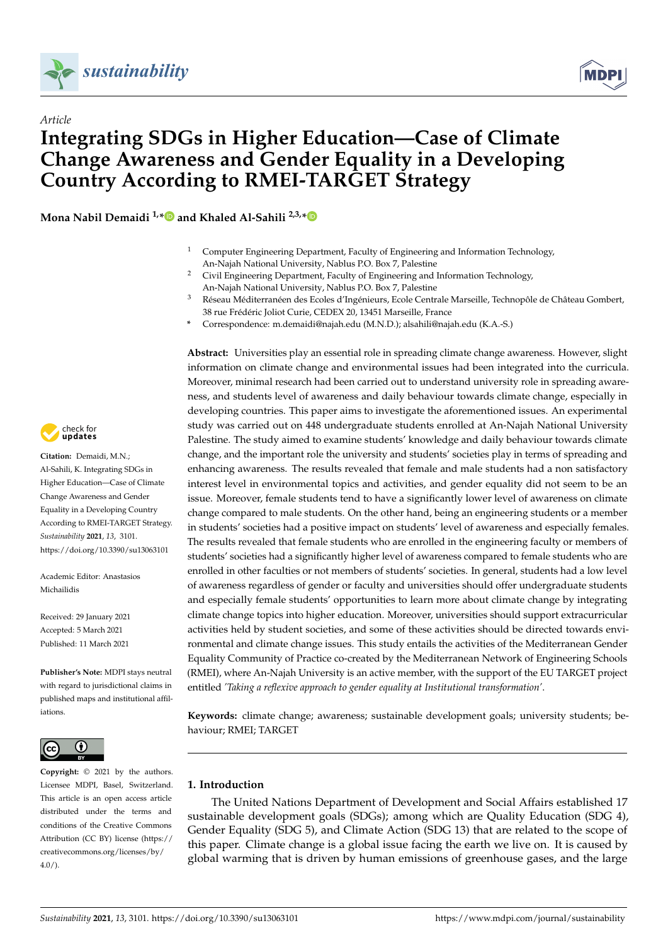



# *Article* **Integrating SDGs in Higher Education—Case of Climate Change Awareness and Gender Equality in a Developing Country According to RMEI-TARGET Strategy**

**Mona Nabil Demaidi 1,[\\*](https://orcid.org/0000-0001-8161-4992) and Khaled Al-Sahili 2,3,[\\*](https://orcid.org/0000-0002-7526-0929)**

- <sup>1</sup> Computer Engineering Department, Faculty of Engineering and Information Technology, An-Najah National University, Nablus P.O. Box 7, Palestine
- <sup>2</sup> Civil Engineering Department, Faculty of Engineering and Information Technology, An-Najah National University, Nablus P.O. Box 7, Palestine
- <sup>3</sup> Réseau Méditerranéen des Ecoles d'Ingénieurs, Ecole Centrale Marseille, Technopôle de Château Gombert, 38 rue Frédéric Joliot Curie, CEDEX 20, 13451 Marseille, France
- **\*** Correspondence: m.demaidi@najah.edu (M.N.D.); alsahili@najah.edu (K.A.-S.)

**Abstract:** Universities play an essential role in spreading climate change awareness. However, slight information on climate change and environmental issues had been integrated into the curricula. Moreover, minimal research had been carried out to understand university role in spreading awareness, and students level of awareness and daily behaviour towards climate change, especially in developing countries. This paper aims to investigate the aforementioned issues. An experimental study was carried out on 448 undergraduate students enrolled at An-Najah National University Palestine. The study aimed to examine students' knowledge and daily behaviour towards climate change, and the important role the university and students' societies play in terms of spreading and enhancing awareness. The results revealed that female and male students had a non satisfactory interest level in environmental topics and activities, and gender equality did not seem to be an issue. Moreover, female students tend to have a significantly lower level of awareness on climate change compared to male students. On the other hand, being an engineering students or a member in students' societies had a positive impact on students' level of awareness and especially females. The results revealed that female students who are enrolled in the engineering faculty or members of students' societies had a significantly higher level of awareness compared to female students who are enrolled in other faculties or not members of students' societies. In general, students had a low level of awareness regardless of gender or faculty and universities should offer undergraduate students and especially female students' opportunities to learn more about climate change by integrating climate change topics into higher education. Moreover, universities should support extracurricular activities held by student societies, and some of these activities should be directed towards environmental and climate change issues. This study entails the activities of the Mediterranean Gender Equality Community of Practice co-created by the Mediterranean Network of Engineering Schools (RMEI), where An-Najah University is an active member, with the support of the EU TARGET project entitled *'Taking a reflexive approach to gender equality at Institutional transformation'*.

**Keywords:** climate change; awareness; sustainable development goals; university students; behaviour; RMEI; TARGET

## **1. Introduction**

The United Nations Department of Development and Social Affairs established 17 sustainable development goals (SDGs); among which are Quality Education (SDG 4), Gender Equality (SDG 5), and Climate Action (SDG 13) that are related to the scope of this paper. Climate change is a global issue facing the earth we live on. It is caused by global warming that is driven by human emissions of greenhouse gases, and the large



**Citation:** Demaidi, M.N.; Al-Sahili, K. Integrating SDGs in Higher Education—Case of Climate Change Awareness and Gender Equality in a Developing Country According to RMEI-TARGET Strategy. *Sustainability* **2021**, *13*, 3101. <https://doi.org/10.3390/su13063101>

Academic Editor: Anastasios Michailidis

Received: 29 January 2021 Accepted: 5 March 2021 Published: 11 March 2021

**Publisher's Note:** MDPI stays neutral with regard to jurisdictional claims in published maps and institutional affiliations.



**Copyright:** © 2021 by the authors. Licensee MDPI, Basel, Switzerland. This article is an open access article distributed under the terms and conditions of the Creative Commons Attribution (CC BY) license (https:/[/](https://creativecommons.org/licenses/by/4.0/) [creativecommons.org/licenses/by/](https://creativecommons.org/licenses/by/4.0/)  $4.0/$ ).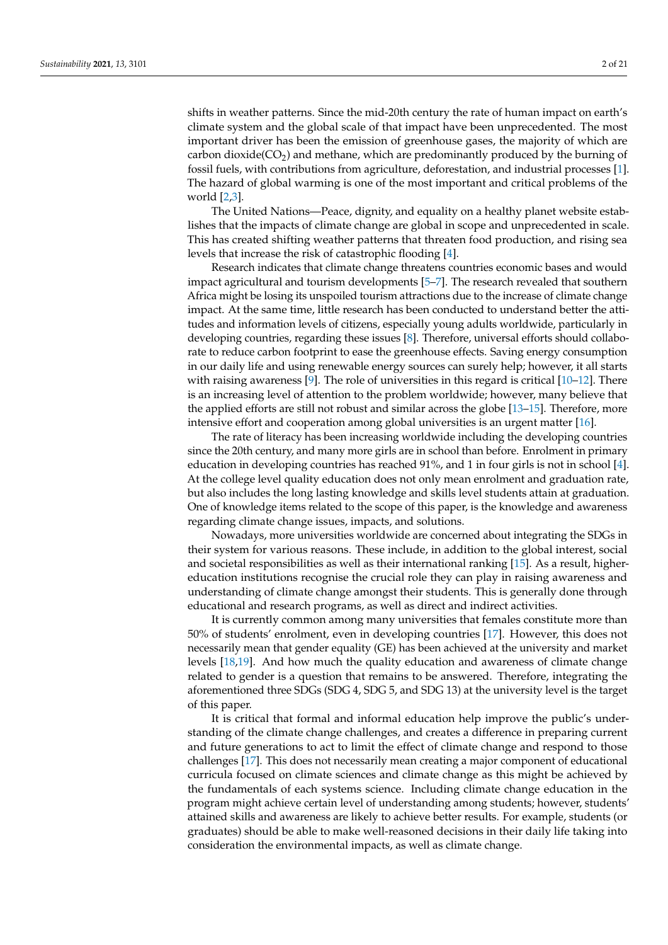shifts in weather patterns. Since the mid-20th century the rate of human impact on earth's climate system and the global scale of that impact have been unprecedented. The most important driver has been the emission of greenhouse gases, the majority of which are carbon dioxide( $CO<sub>2</sub>$ ) and methane, which are predominantly produced by the burning of fossil fuels, with contributions from agriculture, deforestation, and industrial processes [\[1\]](#page-18-0). The hazard of global warming is one of the most important and critical problems of the world [\[2](#page-18-1)[,3\]](#page-18-2).

The United Nations—Peace, dignity, and equality on a healthy planet website establishes that the impacts of climate change are global in scope and unprecedented in scale. This has created shifting weather patterns that threaten food production, and rising sea levels that increase the risk of catastrophic flooding [\[4\]](#page-18-3).

Research indicates that climate change threatens countries economic bases and would impact agricultural and tourism developments [\[5–](#page-18-4)[7\]](#page-18-5). The research revealed that southern Africa might be losing its unspoiled tourism attractions due to the increase of climate change impact. At the same time, little research has been conducted to understand better the attitudes and information levels of citizens, especially young adults worldwide, particularly in developing countries, regarding these issues [\[8\]](#page-18-6). Therefore, universal efforts should collaborate to reduce carbon footprint to ease the greenhouse effects. Saving energy consumption in our daily life and using renewable energy sources can surely help; however, it all starts with raising awareness [\[9\]](#page-18-7). The role of universities in this regard is critical  $[10-12]$  $[10-12]$ . There is an increasing level of attention to the problem worldwide; however, many believe that the applied efforts are still not robust and similar across the globe [\[13](#page-18-10)[–15\]](#page-18-11). Therefore, more intensive effort and cooperation among global universities is an urgent matter [\[16\]](#page-18-12).

The rate of literacy has been increasing worldwide including the developing countries since the 20th century, and many more girls are in school than before. Enrolment in primary education in developing countries has reached 91%, and 1 in four girls is not in school [\[4\]](#page-18-3). At the college level quality education does not only mean enrolment and graduation rate, but also includes the long lasting knowledge and skills level students attain at graduation. One of knowledge items related to the scope of this paper, is the knowledge and awareness regarding climate change issues, impacts, and solutions.

Nowadays, more universities worldwide are concerned about integrating the SDGs in their system for various reasons. These include, in addition to the global interest, social and societal responsibilities as well as their international ranking [\[15\]](#page-18-11). As a result, highereducation institutions recognise the crucial role they can play in raising awareness and understanding of climate change amongst their students. This is generally done through educational and research programs, as well as direct and indirect activities.

It is currently common among many universities that females constitute more than 50% of students' enrolment, even in developing countries [\[17\]](#page-18-13). However, this does not necessarily mean that gender equality (GE) has been achieved at the university and market levels [\[18,](#page-18-14)[19\]](#page-18-15). And how much the quality education and awareness of climate change related to gender is a question that remains to be answered. Therefore, integrating the aforementioned three SDGs (SDG 4, SDG 5, and SDG 13) at the university level is the target of this paper.

It is critical that formal and informal education help improve the public's understanding of the climate change challenges, and creates a difference in preparing current and future generations to act to limit the effect of climate change and respond to those challenges [\[17\]](#page-18-13). This does not necessarily mean creating a major component of educational curricula focused on climate sciences and climate change as this might be achieved by the fundamentals of each systems science. Including climate change education in the program might achieve certain level of understanding among students; however, students' attained skills and awareness are likely to achieve better results. For example, students (or graduates) should be able to make well-reasoned decisions in their daily life taking into consideration the environmental impacts, as well as climate change.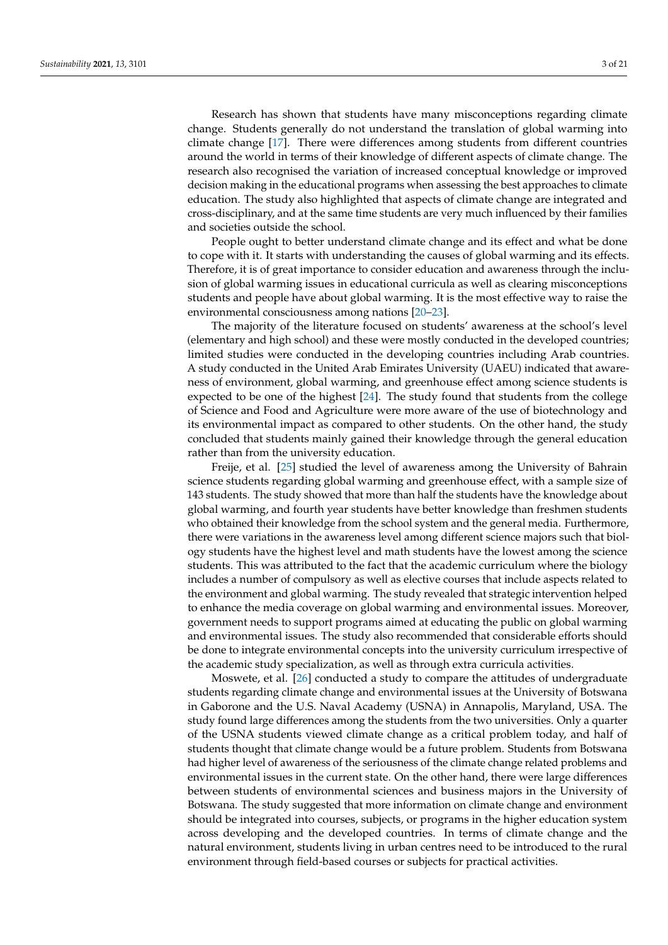Research has shown that students have many misconceptions regarding climate change. Students generally do not understand the translation of global warming into climate change [\[17\]](#page-18-13). There were differences among students from different countries around the world in terms of their knowledge of different aspects of climate change. The research also recognised the variation of increased conceptual knowledge or improved decision making in the educational programs when assessing the best approaches to climate education. The study also highlighted that aspects of climate change are integrated and cross-disciplinary, and at the same time students are very much influenced by their families and societies outside the school.

People ought to better understand climate change and its effect and what be done to cope with it. It starts with understanding the causes of global warming and its effects. Therefore, it is of great importance to consider education and awareness through the inclusion of global warming issues in educational curricula as well as clearing misconceptions students and people have about global warming. It is the most effective way to raise the environmental consciousness among nations [\[20–](#page-18-16)[23\]](#page-18-17).

The majority of the literature focused on students' awareness at the school's level (elementary and high school) and these were mostly conducted in the developed countries; limited studies were conducted in the developing countries including Arab countries. A study conducted in the United Arab Emirates University (UAEU) indicated that awareness of environment, global warming, and greenhouse effect among science students is expected to be one of the highest [\[24\]](#page-18-18). The study found that students from the college of Science and Food and Agriculture were more aware of the use of biotechnology and its environmental impact as compared to other students. On the other hand, the study concluded that students mainly gained their knowledge through the general education rather than from the university education.

Freije, et al. [\[25\]](#page-18-19) studied the level of awareness among the University of Bahrain science students regarding global warming and greenhouse effect, with a sample size of 143 students. The study showed that more than half the students have the knowledge about global warming, and fourth year students have better knowledge than freshmen students who obtained their knowledge from the school system and the general media. Furthermore, there were variations in the awareness level among different science majors such that biology students have the highest level and math students have the lowest among the science students. This was attributed to the fact that the academic curriculum where the biology includes a number of compulsory as well as elective courses that include aspects related to the environment and global warming. The study revealed that strategic intervention helped to enhance the media coverage on global warming and environmental issues. Moreover, government needs to support programs aimed at educating the public on global warming and environmental issues. The study also recommended that considerable efforts should be done to integrate environmental concepts into the university curriculum irrespective of the academic study specialization, as well as through extra curricula activities.

Moswete, et al. [\[26\]](#page-18-20) conducted a study to compare the attitudes of undergraduate students regarding climate change and environmental issues at the University of Botswana in Gaborone and the U.S. Naval Academy (USNA) in Annapolis, Maryland, USA. The study found large differences among the students from the two universities. Only a quarter of the USNA students viewed climate change as a critical problem today, and half of students thought that climate change would be a future problem. Students from Botswana had higher level of awareness of the seriousness of the climate change related problems and environmental issues in the current state. On the other hand, there were large differences between students of environmental sciences and business majors in the University of Botswana. The study suggested that more information on climate change and environment should be integrated into courses, subjects, or programs in the higher education system across developing and the developed countries. In terms of climate change and the natural environment, students living in urban centres need to be introduced to the rural environment through field-based courses or subjects for practical activities.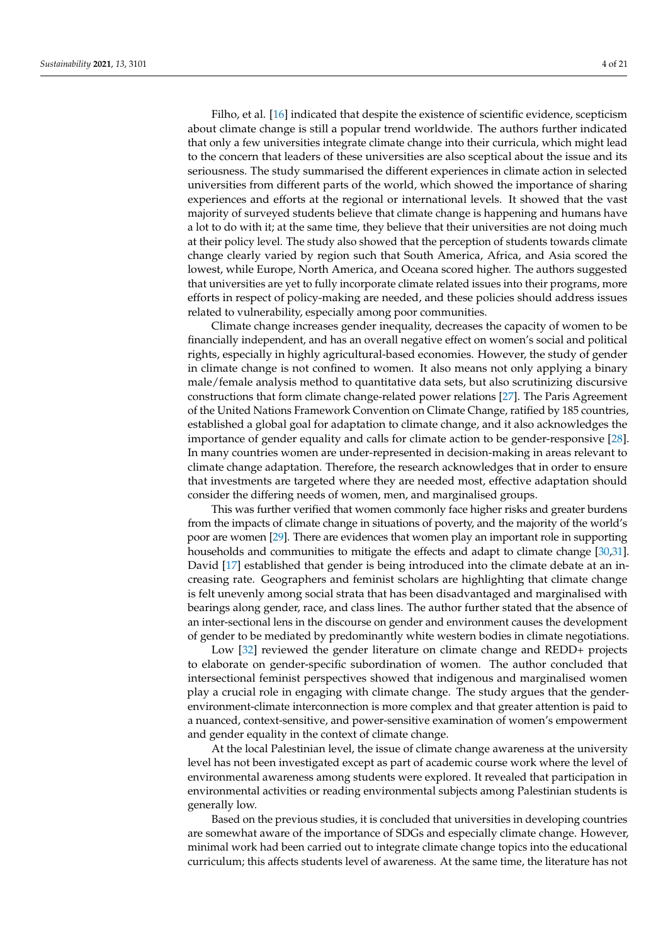Filho, et al. [\[16\]](#page-18-12) indicated that despite the existence of scientific evidence, scepticism about climate change is still a popular trend worldwide. The authors further indicated that only a few universities integrate climate change into their curricula, which might lead to the concern that leaders of these universities are also sceptical about the issue and its seriousness. The study summarised the different experiences in climate action in selected universities from different parts of the world, which showed the importance of sharing experiences and efforts at the regional or international levels. It showed that the vast majority of surveyed students believe that climate change is happening and humans have a lot to do with it; at the same time, they believe that their universities are not doing much at their policy level. The study also showed that the perception of students towards climate change clearly varied by region such that South America, Africa, and Asia scored the lowest, while Europe, North America, and Oceana scored higher. The authors suggested that universities are yet to fully incorporate climate related issues into their programs, more efforts in respect of policy-making are needed, and these policies should address issues related to vulnerability, especially among poor communities.

Climate change increases gender inequality, decreases the capacity of women to be financially independent, and has an overall negative effect on women's social and political rights, especially in highly agricultural-based economies. However, the study of gender in climate change is not confined to women. It also means not only applying a binary male/female analysis method to quantitative data sets, but also scrutinizing discursive constructions that form climate change-related power relations [\[27\]](#page-18-21). The Paris Agreement of the United Nations Framework Convention on Climate Change, ratified by 185 countries, established a global goal for adaptation to climate change, and it also acknowledges the importance of gender equality and calls for climate action to be gender-responsive [\[28\]](#page-19-0). In many countries women are under-represented in decision-making in areas relevant to climate change adaptation. Therefore, the research acknowledges that in order to ensure that investments are targeted where they are needed most, effective adaptation should consider the differing needs of women, men, and marginalised groups.

This was further verified that women commonly face higher risks and greater burdens from the impacts of climate change in situations of poverty, and the majority of the world's poor are women [\[29\]](#page-19-1). There are evidences that women play an important role in supporting households and communities to mitigate the effects and adapt to climate change [\[30,](#page-19-2)[31\]](#page-19-3). David [\[17\]](#page-18-13) established that gender is being introduced into the climate debate at an increasing rate. Geographers and feminist scholars are highlighting that climate change is felt unevenly among social strata that has been disadvantaged and marginalised with bearings along gender, race, and class lines. The author further stated that the absence of an inter-sectional lens in the discourse on gender and environment causes the development of gender to be mediated by predominantly white western bodies in climate negotiations.

Low [\[32\]](#page-19-4) reviewed the gender literature on climate change and REDD+ projects to elaborate on gender-specific subordination of women. The author concluded that intersectional feminist perspectives showed that indigenous and marginalised women play a crucial role in engaging with climate change. The study argues that the genderenvironment-climate interconnection is more complex and that greater attention is paid to a nuanced, context-sensitive, and power-sensitive examination of women's empowerment and gender equality in the context of climate change.

At the local Palestinian level, the issue of climate change awareness at the university level has not been investigated except as part of academic course work where the level of environmental awareness among students were explored. It revealed that participation in environmental activities or reading environmental subjects among Palestinian students is generally low.

Based on the previous studies, it is concluded that universities in developing countries are somewhat aware of the importance of SDGs and especially climate change. However, minimal work had been carried out to integrate climate change topics into the educational curriculum; this affects students level of awareness. At the same time, the literature has not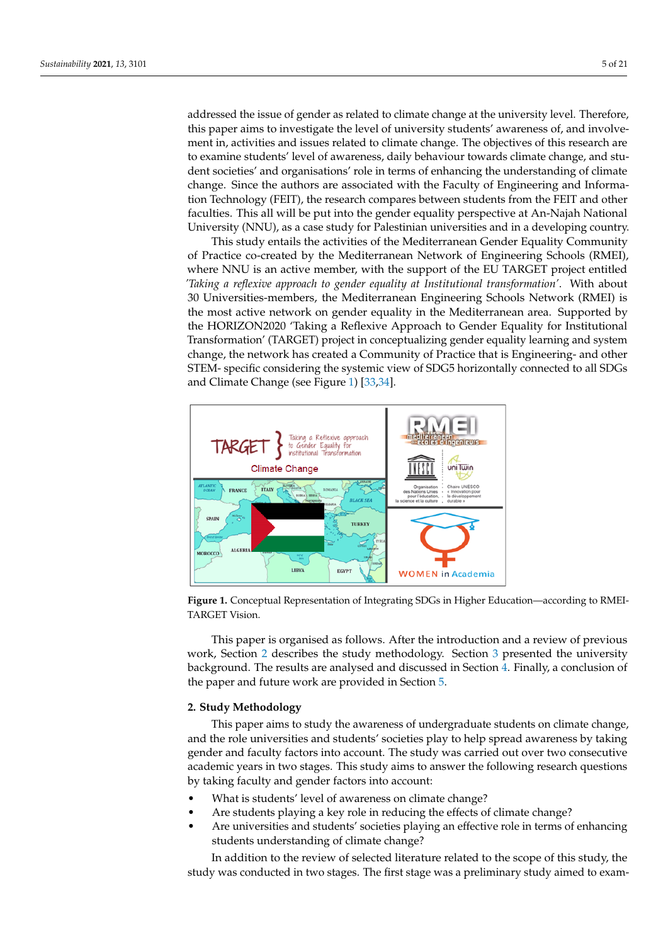addressed the issue of gender as related to climate change at the university level. Therefore, this paper aims to investigate the level of university students' awareness of, and involvement in, activities and issues related to climate change. The objectives of this research are to examine students' level of awareness, daily behaviour towards climate change, and student societies' and organisations' role in terms of enhancing the understanding of climate change. Since the authors are associated with the Faculty of Engineering and Information Technology (FEIT), the research compares between students from the FEIT and other faculties. This all will be put into the gender equality perspective at An-Najah National University (NNU), as a case study for Palestinian universities and in a developing country.

This study entails the activities of the Mediterranean Gender Equality Community of Practice co-created by the Mediterranean Network of Engineering Schools (RMEI), where NNU is an active member, with the support of the EU TARGET project entitled *'Taking a reflexive approach to gender equality at Institutional transformation'*. With about 30 Universities-members, the Mediterranean Engineering Schools Network (RMEI) is the most active network on gender equality in the Mediterranean area. Supported by the HORIZON2020 'Taking a Reflexive Approach to Gender Equality for Institutional Transformation' (TARGET) project in conceptualizing gender equality learning and system change, the network has created a Community of Practice that is Engineering- and other STEM- specific considering the systemic view of SDG5 horizontally connected to all SDGs and Climate Change (see Figure [1\)](#page-4-0) [\[33](#page-19-5)[,34\]](#page-19-6).

<span id="page-4-0"></span>

**Figure 1.** Conceptual Representation of Integrating SDGs in Higher Education—according to RMEI-TARGET Vision.

This paper is organised as follows. After the introduction and a review of previous work, Section [2](#page-4-1) describes the study methodology. Section [3](#page-5-0) presented the university background. The results are analysed and discussed in Section [4.](#page-8-0) Finally, a conclusion of the paper and future work are provided in Section [5.](#page-16-0)

## <span id="page-4-1"></span>**2. Study Methodology**

This paper aims to study the awareness of undergraduate students on climate change, and the role universities and students' societies play to help spread awareness by taking gender and faculty factors into account. The study was carried out over two consecutive academic years in two stages. This study aims to answer the following research questions by taking faculty and gender factors into account:

- What is students' level of awareness on climate change?
- Are students playing a key role in reducing the effects of climate change?
- Are universities and students' societies playing an effective role in terms of enhancing students understanding of climate change?

In addition to the review of selected literature related to the scope of this study, the study was conducted in two stages. The first stage was a preliminary study aimed to exam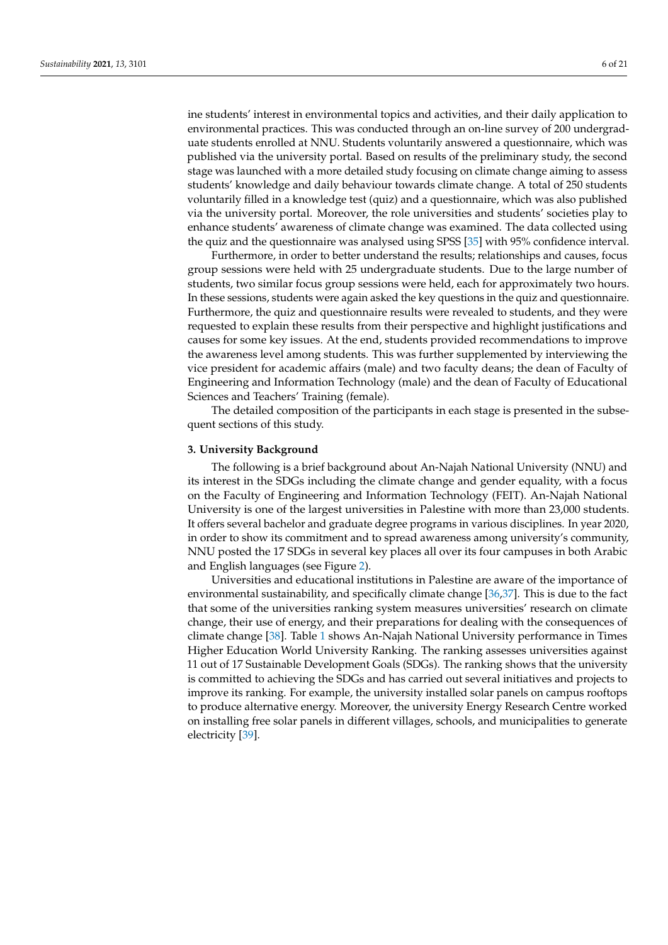ine students' interest in environmental topics and activities, and their daily application to environmental practices. This was conducted through an on-line survey of 200 undergraduate students enrolled at NNU. Students voluntarily answered a questionnaire, which was published via the university portal. Based on results of the preliminary study, the second stage was launched with a more detailed study focusing on climate change aiming to assess students' knowledge and daily behaviour towards climate change. A total of 250 students voluntarily filled in a knowledge test (quiz) and a questionnaire, which was also published via the university portal. Moreover, the role universities and students' societies play to enhance students' awareness of climate change was examined. The data collected using the quiz and the questionnaire was analysed using SPSS [\[35\]](#page-19-7) with 95% confidence interval.

Furthermore, in order to better understand the results; relationships and causes, focus group sessions were held with 25 undergraduate students. Due to the large number of students, two similar focus group sessions were held, each for approximately two hours. In these sessions, students were again asked the key questions in the quiz and questionnaire. Furthermore, the quiz and questionnaire results were revealed to students, and they were requested to explain these results from their perspective and highlight justifications and causes for some key issues. At the end, students provided recommendations to improve the awareness level among students. This was further supplemented by interviewing the vice president for academic affairs (male) and two faculty deans; the dean of Faculty of Engineering and Information Technology (male) and the dean of Faculty of Educational Sciences and Teachers' Training (female).

The detailed composition of the participants in each stage is presented in the subsequent sections of this study.

## <span id="page-5-0"></span>**3. University Background**

The following is a brief background about An-Najah National University (NNU) and its interest in the SDGs including the climate change and gender equality, with a focus on the Faculty of Engineering and Information Technology (FEIT). An-Najah National University is one of the largest universities in Palestine with more than 23,000 students. It offers several bachelor and graduate degree programs in various disciplines. In year 2020, in order to show its commitment and to spread awareness among university's community, NNU posted the 17 SDGs in several key places all over its four campuses in both Arabic and English languages (see Figure [2\)](#page-6-0).

Universities and educational institutions in Palestine are aware of the importance of environmental sustainability, and specifically climate change [\[36](#page-19-8)[,37\]](#page-19-9). This is due to the fact that some of the universities ranking system measures universities' research on climate change, their use of energy, and their preparations for dealing with the consequences of climate change [\[38\]](#page-19-10). Table [1](#page-6-1) shows An-Najah National University performance in Times Higher Education World University Ranking. The ranking assesses universities against 11 out of 17 Sustainable Development Goals (SDGs). The ranking shows that the university is committed to achieving the SDGs and has carried out several initiatives and projects to improve its ranking. For example, the university installed solar panels on campus rooftops to produce alternative energy. Moreover, the university Energy Research Centre worked on installing free solar panels in different villages, schools, and municipalities to generate electricity [\[39\]](#page-19-11).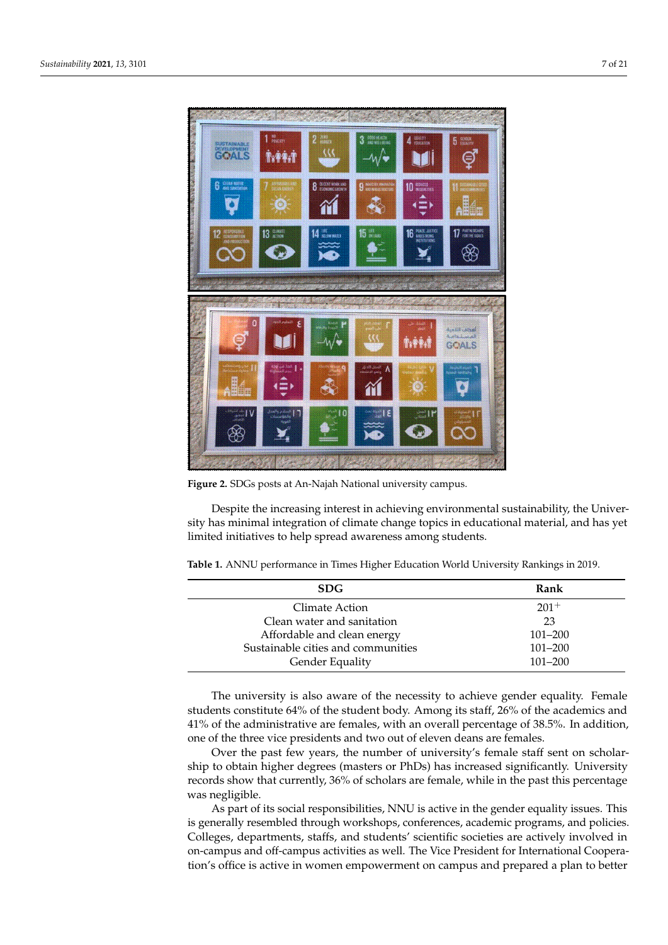<span id="page-6-0"></span>

**Figure 2.** SDGs posts at An-Najah National university campus.

Despite the increasing interest in achieving environmental sustainability, the University has minimal integration of climate change topics in educational material, and has yet limited initiatives to help spread awareness among students.

<span id="page-6-1"></span>

| Table 1. ANNU performance in Times Higher Education World University Rankings in 2019. |  |  |  |  |  |  |
|----------------------------------------------------------------------------------------|--|--|--|--|--|--|
|----------------------------------------------------------------------------------------|--|--|--|--|--|--|

| <b>SDG</b>                         | Rank        |
|------------------------------------|-------------|
| Climate Action                     | $201^+$     |
| Clean water and sanitation         | 23          |
| Affordable and clean energy        | $101 - 200$ |
| Sustainable cities and communities | $101 - 200$ |
| Gender Equality                    | $101 - 200$ |

The university is also aware of the necessity to achieve gender equality. Female students constitute 64% of the student body. Among its staff, 26% of the academics and 41% of the administrative are females, with an overall percentage of 38.5%. In addition, one of the three vice presidents and two out of eleven deans are females.

Over the past few years, the number of university's female staff sent on scholarship to obtain higher degrees (masters or PhDs) has increased significantly. University records show that currently, 36% of scholars are female, while in the past this percentage was negligible.

As part of its social responsibilities, NNU is active in the gender equality issues. This is generally resembled through workshops, conferences, academic programs, and policies. Colleges, departments, staffs, and students' scientific societies are actively involved in on-campus and off-campus activities as well. The Vice President for International Cooperation's office is active in women empowerment on campus and prepared a plan to better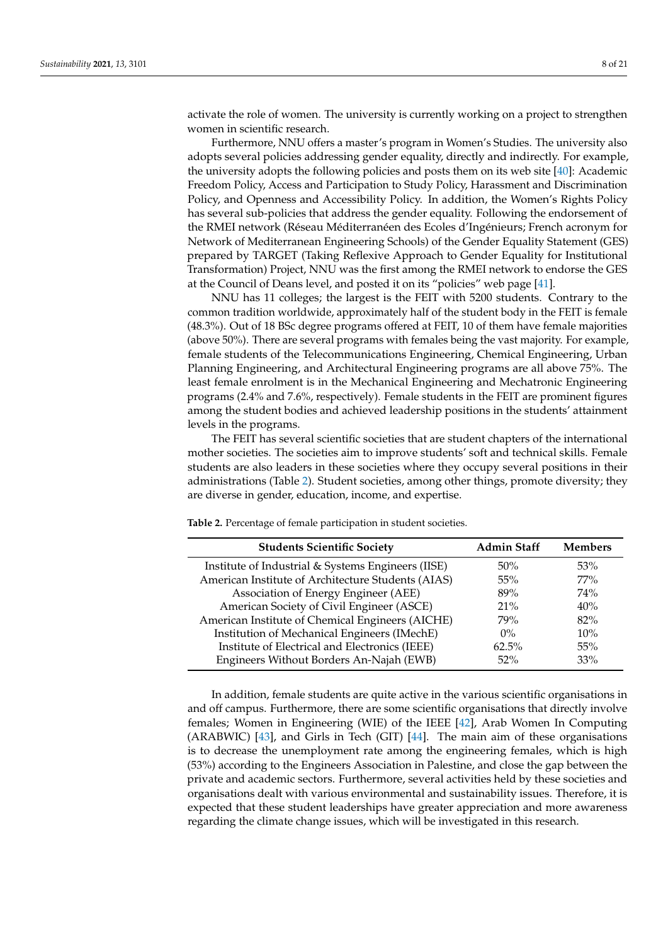activate the role of women. The university is currently working on a project to strengthen women in scientific research.

Furthermore, NNU offers a master's program in Women's Studies. The university also adopts several policies addressing gender equality, directly and indirectly. For example, the university adopts the following policies and posts them on its web site [\[40\]](#page-19-12): Academic Freedom Policy, Access and Participation to Study Policy, Harassment and Discrimination Policy, and Openness and Accessibility Policy. In addition, the Women's Rights Policy has several sub-policies that address the gender equality. Following the endorsement of the RMEI network (Réseau Méditerranéen des Ecoles d'Ingénieurs; French acronym for Network of Mediterranean Engineering Schools) of the Gender Equality Statement (GES) prepared by TARGET (Taking Reflexive Approach to Gender Equality for Institutional Transformation) Project, NNU was the first among the RMEI network to endorse the GES at the Council of Deans level, and posted it on its "policies" web page [\[41\]](#page-19-13).

NNU has 11 colleges; the largest is the FEIT with 5200 students. Contrary to the common tradition worldwide, approximately half of the student body in the FEIT is female (48.3%). Out of 18 BSc degree programs offered at FEIT, 10 of them have female majorities (above 50%). There are several programs with females being the vast majority. For example, female students of the Telecommunications Engineering, Chemical Engineering, Urban Planning Engineering, and Architectural Engineering programs are all above 75%. The least female enrolment is in the Mechanical Engineering and Mechatronic Engineering programs (2.4% and 7.6%, respectively). Female students in the FEIT are prominent figures among the student bodies and achieved leadership positions in the students' attainment levels in the programs.

The FEIT has several scientific societies that are student chapters of the international mother societies. The societies aim to improve students' soft and technical skills. Female students are also leaders in these societies where they occupy several positions in their administrations (Table [2\)](#page-7-0). Student societies, among other things, promote diversity; they are diverse in gender, education, income, and expertise.

**Students Scientific Society Admin Staff Members** Institute of Industrial & Systems Engineers (IISE) 50% 53% American Institute of Architecture Students (AIAS) 55% 77% Association of Energy Engineer (AEE) 89% 74% American Society of Civil Engineer (ASCE) 21% 21% 40% American Institute of Chemical Engineers (AICHE) 79% 82% Institution of Mechanical Engineers (IMechE) 0% 10% Institute of Electrical and Electronics (IEEE) 62.5% 55% Engineers Without Borders An-Najah (EWB) 52% 33%

<span id="page-7-0"></span>**Table 2.** Percentage of female participation in student societies.

In addition, female students are quite active in the various scientific organisations in and off campus. Furthermore, there are some scientific organisations that directly involve females; Women in Engineering (WIE) of the IEEE [\[42\]](#page-19-14), Arab Women In Computing (ARABWIC) [\[43\]](#page-19-15), and Girls in Tech (GIT) [\[44\]](#page-19-16). The main aim of these organisations is to decrease the unemployment rate among the engineering females, which is high (53%) according to the Engineers Association in Palestine, and close the gap between the private and academic sectors. Furthermore, several activities held by these societies and organisations dealt with various environmental and sustainability issues. Therefore, it is expected that these student leaderships have greater appreciation and more awareness regarding the climate change issues, which will be investigated in this research.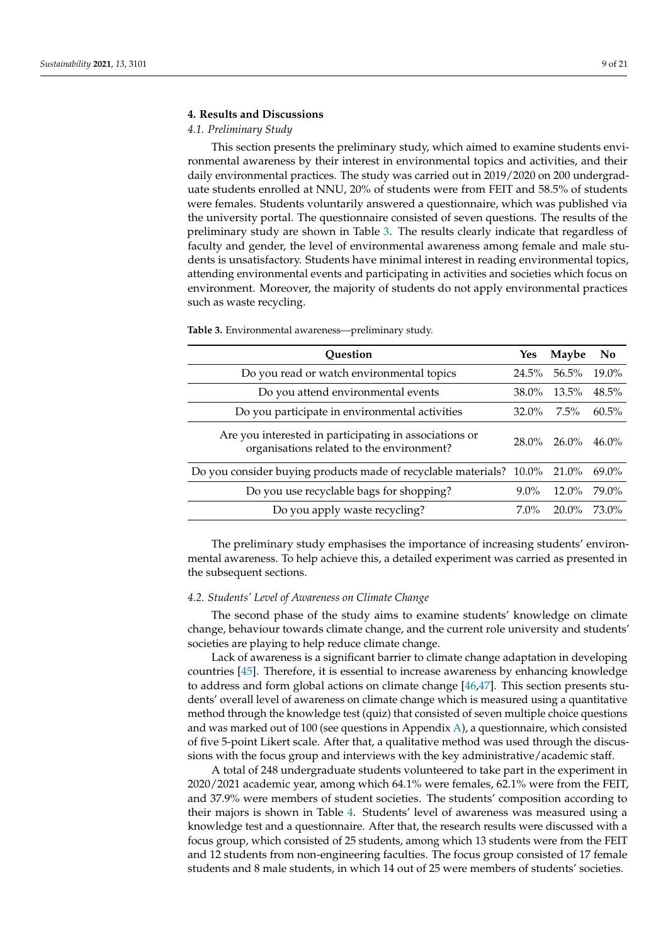#### <span id="page-8-0"></span>**4. Results and Discussions**

## *4.1. Preliminary Study*

This section presents the preliminary study, which aimed to examine students environmental awareness by their interest in environmental topics and activities, and their daily environmental practices. The study was carried out in 2019/2020 on 200 undergraduate students enrolled at NNU, 20% of students were from FEIT and 58.5% of students were females. Students voluntarily answered a questionnaire, which was published via the university portal. The questionnaire consisted of seven questions. The results of the preliminary study are shown in Table [3.](#page-8-1) The results clearly indicate that regardless of faculty and gender, the level of environmental awareness among female and male students is unsatisfactory. Students have minimal interest in reading environmental topics, attending environmental events and participating in activities and societies which focus on environment. Moreover, the majority of students do not apply environmental practices such as waste recycling.

| <b>Ouestion</b>                                                                                     | Yes      | <b>Maybe</b> | N <sub>0</sub> |
|-----------------------------------------------------------------------------------------------------|----------|--------------|----------------|
| Do you read or watch environmental topics                                                           | $24.5\%$ | 56.5%        | $19.0\%$       |
| Do you attend environmental events                                                                  | 38.0%    | $13.5\%$     | $48.5\%$       |
| Do you participate in environmental activities                                                      | $32.0\%$ | $7.5\%$      | $60.5\%$       |
| Are you interested in participating in associations or<br>organisations related to the environment? | $28.0\%$ | $26.0\%$     | $46.0\%$       |
| Do you consider buying products made of recyclable materials? 10.0%                                 |          | 21.0%        | $69.0\%$       |
| Do you use recyclable bags for shopping?                                                            | $9.0\%$  | $12.0\%$     | 79.0%          |
| Do you apply waste recycling?                                                                       | $7.0\%$  | 20.0%        | 73.0%          |

<span id="page-8-1"></span>**Table 3.** Environmental awareness—preliminary study.

The preliminary study emphasises the importance of increasing students' environmental awareness. To help achieve this, a detailed experiment was carried as presented in the subsequent sections.

# *4.2. Students' Level of Awareness on Climate Change*

The second phase of the study aims to examine students' knowledge on climate change, behaviour towards climate change, and the current role university and students' societies are playing to help reduce climate change.

Lack of awareness is a significant barrier to climate change adaptation in developing countries [\[45\]](#page-19-17). Therefore, it is essential to increase awareness by enhancing knowledge to address and form global actions on climate change [\[46](#page-19-18)[,47\]](#page-19-19). This section presents students' overall level of awareness on climate change which is measured using a quantitative method through the knowledge test (quiz) that consisted of seven multiple choice questions and was marked out of 100 (see questions in Appendix [A\)](#page-17-0), a questionnaire, which consisted of five 5-point Likert scale. After that, a qualitative method was used through the discussions with the focus group and interviews with the key administrative/academic staff.

A total of 248 undergraduate students volunteered to take part in the experiment in 2020/2021 academic year, among which 64.1% were females, 62.1% were from the FEIT, and 37.9% were members of student societies. The students' composition according to their majors is shown in Table [4.](#page-9-0) Students' level of awareness was measured using a knowledge test and a questionnaire. After that, the research results were discussed with a focus group, which consisted of 25 students, among which 13 students were from the FEIT and 12 students from non-engineering faculties. The focus group consisted of 17 female students and 8 male students, in which 14 out of 25 were members of students' societies.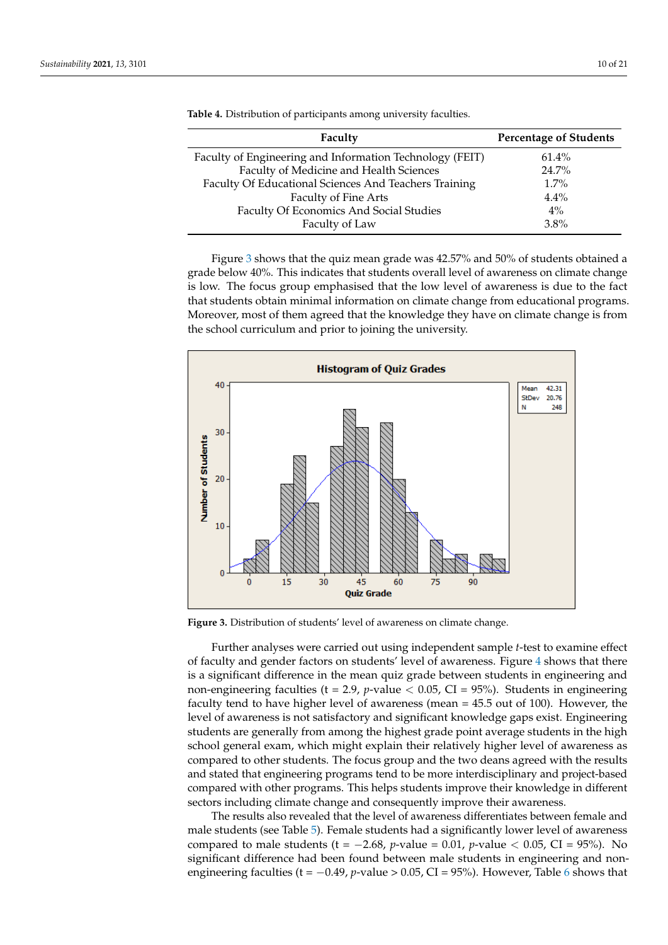| Faculty                                                  | <b>Percentage of Students</b> |
|----------------------------------------------------------|-------------------------------|
| Faculty of Engineering and Information Technology (FEIT) | 61.4%                         |
| Faculty of Medicine and Health Sciences                  | 24.7%                         |
| Faculty Of Educational Sciences And Teachers Training    | $1.7\%$                       |
| Faculty of Fine Arts                                     | $4.4\%$                       |
| Faculty Of Economics And Social Studies                  | $4\%$                         |
| Faculty of Law                                           | 3.8%                          |

<span id="page-9-0"></span>**Table 4.** Distribution of participants among university faculties.

Figure [3](#page-9-1) shows that the quiz mean grade was 42.57% and 50% of students obtained a grade below 40%. This indicates that students overall level of awareness on climate change is low. The focus group emphasised that the low level of awareness is due to the fact that students obtain minimal information on climate change from educational programs. Moreover, most of them agreed that the knowledge they have on climate change is from the school curriculum and prior to joining the university.

<span id="page-9-1"></span>

**Figure 3.** Distribution of students' level of awareness on climate change.

Further analyses were carried out using independent sample *t*-test to examine effect of faculty and gender factors on students' level of awareness. Figure [4](#page-10-0) shows that there is a significant difference in the mean quiz grade between students in engineering and non-engineering faculties (t = 2.9,  $p$ -value  $<$  0.05, CI = 95%). Students in engineering faculty tend to have higher level of awareness (mean = 45.5 out of 100). However, the level of awareness is not satisfactory and significant knowledge gaps exist. Engineering students are generally from among the highest grade point average students in the high school general exam, which might explain their relatively higher level of awareness as compared to other students. The focus group and the two deans agreed with the results and stated that engineering programs tend to be more interdisciplinary and project-based compared with other programs. This helps students improve their knowledge in different sectors including climate change and consequently improve their awareness.

The results also revealed that the level of awareness differentiates between female and male students (see Table [5\)](#page-10-1). Female students had a significantly lower level of awareness compared to male students (t =  $-2.68$ , *p*-value = 0.01, *p*-value < 0.05, CI = 95%). No significant difference had been found between male students in engineering and nonengineering faculties (t = -0.49, *p*-value > 0.05, CI = 95%). However, Table [6](#page-10-2) shows that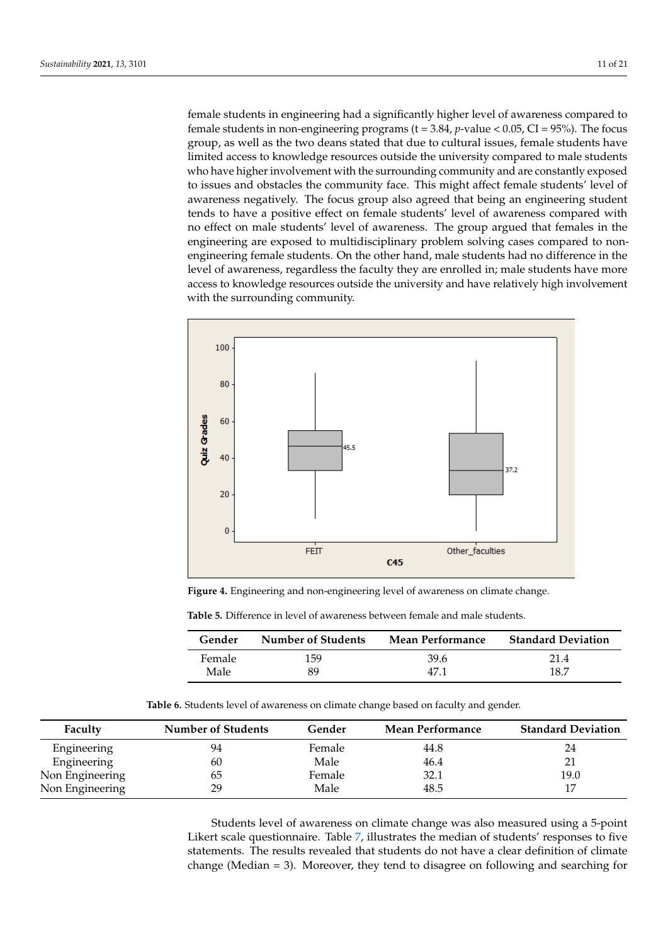female students in engineering had a significantly higher level of awareness compared to female students in non-engineering programs (t = 3.84, *p*-value < 0.05, CI = 95%). The focus group, as well as the two deans stated that due to cultural issues, female students have limited access to knowledge resources outside the university compared to male students who have higher involvement with the surrounding community and are constantly exposed to issues and obstacles the community face. This might affect female students' level of awareness negatively. The focus group also agreed that being an engineering student tends to have a positive effect on female students' level of awareness compared with no effect on male students' level of awareness. The group argued that females in the engineering are exposed to multidisciplinary problem solving cases compared to nonengineering female students. On the other hand, male students had no difference in the level of awareness, regardless the faculty they are enrolled in; male students have more access to knowledge resources outside the university and have relatively high involvement with the surrounding community.

<span id="page-10-0"></span>

**Figure 4.** Engineering and non-engineering level of awareness on climate change.

<span id="page-10-1"></span>**Table 5.** Difference in level of awareness between female and male students.

| Gender | <b>Number of Students</b> | <b>Mean Performance</b> | <b>Standard Deviation</b> |
|--------|---------------------------|-------------------------|---------------------------|
| Female | 159                       | 39.6                    | 21.4                      |
| Male   | 89                        | 47 1                    | 18.7                      |

**Table 6.** Students level of awareness on climate change based on faculty and gender.

<span id="page-10-2"></span>

| Faculty         | <b>Number of Students</b> | Gender | <b>Mean Performance</b> | <b>Standard Deviation</b> |
|-----------------|---------------------------|--------|-------------------------|---------------------------|
| Engineering     | 94                        | Female | 44.8                    | 24                        |
| Engineering     | 60                        | Male   | 46.4                    | 21                        |
| Non Engineering | 65                        | Female | 32.1                    | 19.0                      |
| Non Engineering | 29                        | Male   | 48.5                    | 17                        |

Students level of awareness on climate change was also measured using a 5-point Likert scale questionnaire. Table [7,](#page-11-0) illustrates the median of students' responses to five statements. The results revealed that students do not have a clear definition of climate change (Median = 3). Moreover, they tend to disagree on following and searching for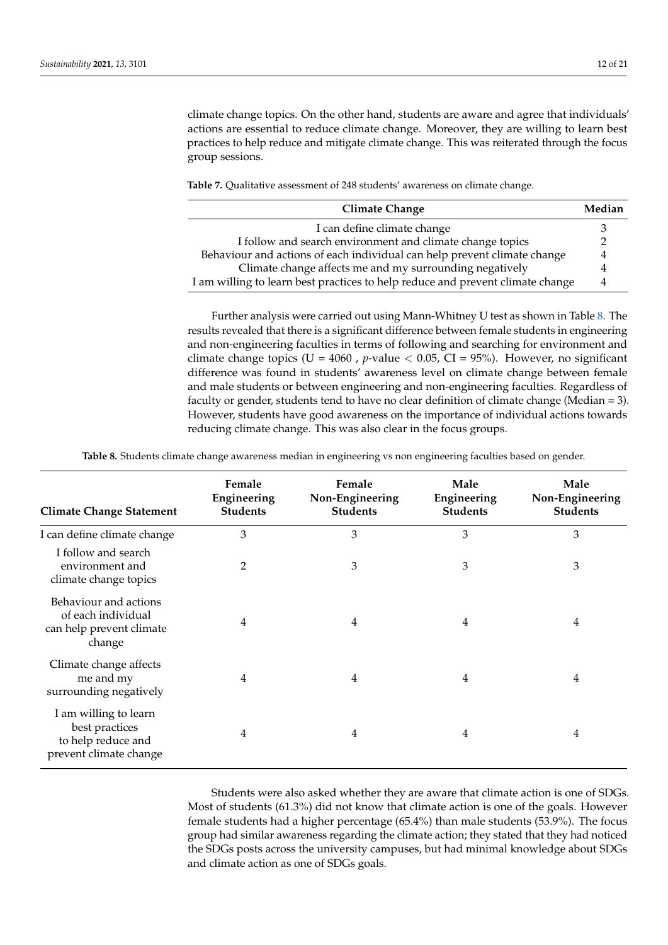climate change topics. On the other hand, students are aware and agree that individuals' actions are essential to reduce climate change. Moreover, they are willing to learn best practices to help reduce and mitigate climate change. This was reiterated through the focus group sessions.

<span id="page-11-0"></span>**Table 7.** Qualitative assessment of 248 students' awareness on climate change.

| <b>Climate Change</b>                                                          | Median |
|--------------------------------------------------------------------------------|--------|
| I can define climate change                                                    |        |
| I follow and search environment and climate change topics                      |        |
| Behaviour and actions of each individual can help prevent climate change       | 4      |
| Climate change affects me and my surrounding negatively                        | 4      |
| I am willing to learn best practices to help reduce and prevent climate change | 4      |

Further analysis were carried out using Mann-Whitney U test as shown in Table [8.](#page-11-1) The results revealed that there is a significant difference between female students in engineering and non-engineering faculties in terms of following and searching for environment and climate change topics ( $U = 4060$ , *p*-value  $< 0.05$ , CI = 95%). However, no significant difference was found in students' awareness level on climate change between female and male students or between engineering and non-engineering faculties. Regardless of faculty or gender, students tend to have no clear definition of climate change (Median = 3). However, students have good awareness on the importance of individual actions towards reducing climate change. This was also clear in the focus groups.

**Table 8.** Students climate change awareness median in engineering vs non engineering faculties based on gender.

<span id="page-11-1"></span>

| <b>Climate Change Statement</b>                                                         | Female<br>Engineering<br><b>Students</b> | Female<br>Non-Engineering<br><b>Students</b> | Male<br>Engineering<br><b>Students</b> | Male<br>Non-Engineering<br><b>Students</b> |
|-----------------------------------------------------------------------------------------|------------------------------------------|----------------------------------------------|----------------------------------------|--------------------------------------------|
| I can define climate change                                                             | 3                                        | 3                                            | 3                                      | 3                                          |
| I follow and search<br>environment and<br>climate change topics                         | 2                                        | 3                                            | 3                                      | 3                                          |
| Behaviour and actions<br>of each individual<br>can help prevent climate<br>change       | 4                                        | 4                                            | 4                                      | 4                                          |
| Climate change affects<br>me and my<br>surrounding negatively                           | 4                                        | 4                                            | 4                                      | 4                                          |
| I am willing to learn<br>best practices<br>to help reduce and<br>prevent climate change | 4                                        | 4                                            | 4                                      | 4                                          |

Students were also asked whether they are aware that climate action is one of SDGs. Most of students (61.3%) did not know that climate action is one of the goals. However female students had a higher percentage (65.4%) than male students (53.9%). The focus group had similar awareness regarding the climate action; they stated that they had noticed the SDGs posts across the university campuses, but had minimal knowledge about SDGs and climate action as one of SDGs goals.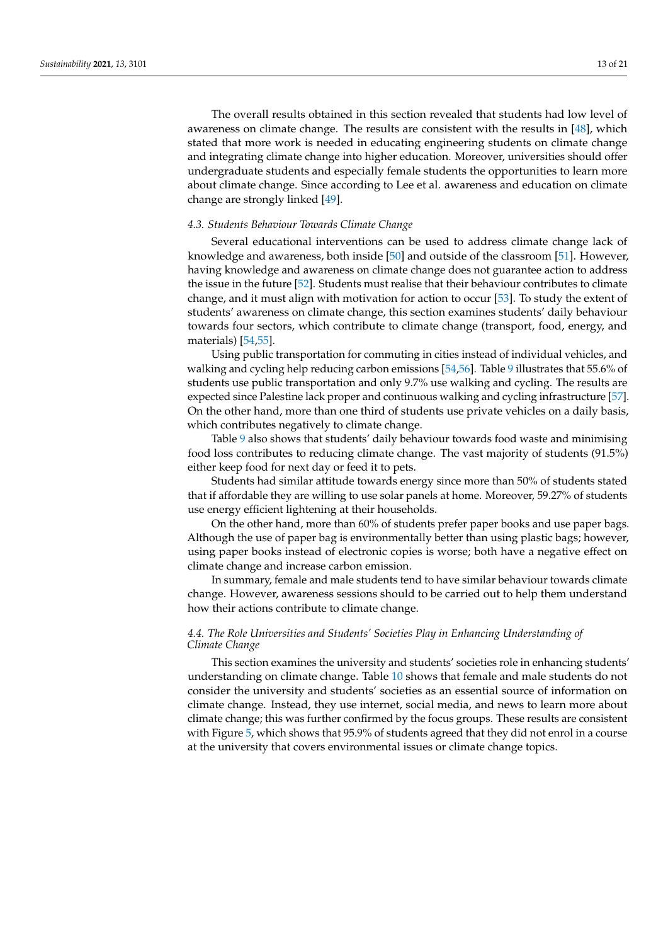The overall results obtained in this section revealed that students had low level of awareness on climate change. The results are consistent with the results in [\[48\]](#page-19-20), which stated that more work is needed in educating engineering students on climate change and integrating climate change into higher education. Moreover, universities should offer undergraduate students and especially female students the opportunities to learn more about climate change. Since according to Lee et al. awareness and education on climate change are strongly linked [\[49\]](#page-19-21).

## *4.3. Students Behaviour Towards Climate Change*

Several educational interventions can be used to address climate change lack of knowledge and awareness, both inside [\[50\]](#page-19-22) and outside of the classroom [\[51\]](#page-19-23). However, having knowledge and awareness on climate change does not guarantee action to address the issue in the future [\[52\]](#page-19-24). Students must realise that their behaviour contributes to climate change, and it must align with motivation for action to occur [\[53\]](#page-19-25). To study the extent of students' awareness on climate change, this section examines students' daily behaviour towards four sectors, which contribute to climate change (transport, food, energy, and materials) [\[54,](#page-19-26)[55\]](#page-19-27).

Using public transportation for commuting in cities instead of individual vehicles, and walking and cycling help reducing carbon emissions [\[54](#page-19-26)[,56\]](#page-19-28). Table [9](#page-13-0) illustrates that 55.6% of students use public transportation and only 9.7% use walking and cycling. The results are expected since Palestine lack proper and continuous walking and cycling infrastructure [\[57\]](#page-19-29). On the other hand, more than one third of students use private vehicles on a daily basis, which contributes negatively to climate change.

Table [9](#page-13-0) also shows that students' daily behaviour towards food waste and minimising food loss contributes to reducing climate change. The vast majority of students (91.5%) either keep food for next day or feed it to pets.

Students had similar attitude towards energy since more than 50% of students stated that if affordable they are willing to use solar panels at home. Moreover, 59.27% of students use energy efficient lightening at their households.

On the other hand, more than 60% of students prefer paper books and use paper bags. Although the use of paper bag is environmentally better than using plastic bags; however, using paper books instead of electronic copies is worse; both have a negative effect on climate change and increase carbon emission.

In summary, female and male students tend to have similar behaviour towards climate change. However, awareness sessions should to be carried out to help them understand how their actions contribute to climate change.

## *4.4. The Role Universities and Students' Societies Play in Enhancing Understanding of Climate Change*

This section examines the university and students' societies role in enhancing students' understanding on climate change. Table [10](#page-14-0) shows that female and male students do not consider the university and students' societies as an essential source of information on climate change. Instead, they use internet, social media, and news to learn more about climate change; this was further confirmed by the focus groups. These results are consistent with Figure [5,](#page-14-1) which shows that 95.9% of students agreed that they did not enrol in a course at the university that covers environmental issues or climate change topics.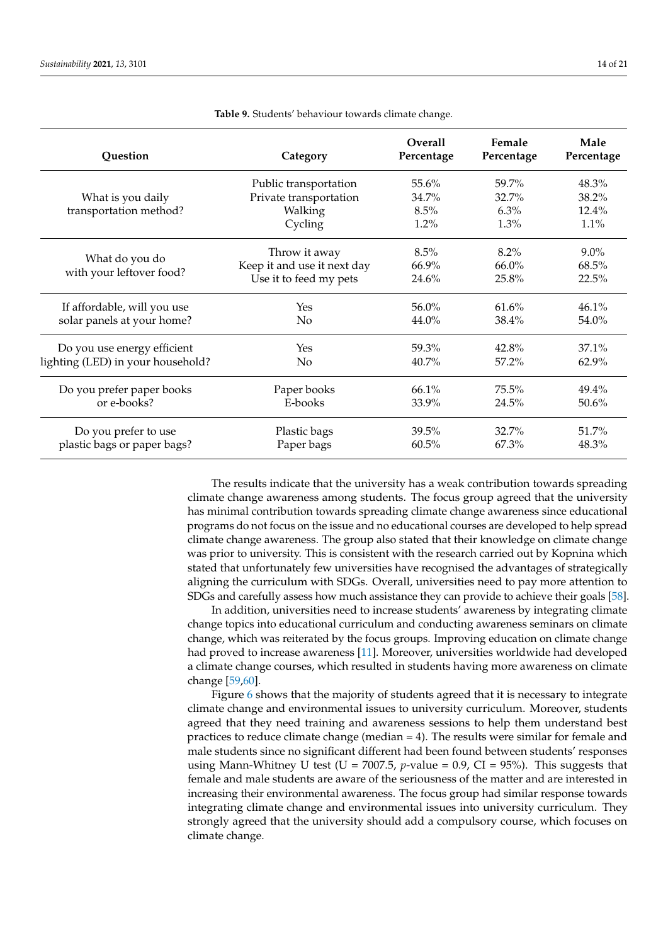<span id="page-13-0"></span>

| Question                          | Category                    | <b>Overall</b><br>Percentage | Female<br>Percentage | Male<br>Percentage |
|-----------------------------------|-----------------------------|------------------------------|----------------------|--------------------|
|                                   | Public transportation       | $55.6\%$                     | 59.7%                | 48.3%              |
| What is you daily                 | Private transportation      | 34.7%                        | 32.7%                | 38.2%              |
| transportation method?            | Walking                     | 8.5%                         | $6.3\%$              | $12.4\%$           |
|                                   | Cycling                     | $1.2\%$                      | $1.3\%$              | $1.1\%$            |
|                                   | Throw it away               | 8.5%                         | 8.2%                 | $9.0\%$            |
| What do you do                    | Keep it and use it next day | $66.9\%$                     | 66.0%                | 68.5%              |
| with your leftover food?          | Use it to feed my pets      | 24.6%                        | 25.8%                | 22.5%              |
| If affordable, will you use       | Yes                         | 56.0%                        | 61.6%                | 46.1%              |
| solar panels at your home?        | N <sub>o</sub>              | 44.0%                        | 38.4%                | 54.0%              |
| Do you use energy efficient       | Yes                         | 59.3%                        | 42.8%                | 37.1%              |
| lighting (LED) in your household? | N <sub>o</sub>              | $40.7\%$                     | 57.2%                | $62.9\%$           |
| Do you prefer paper books         | Paper books                 | $66.1\%$                     | $75.5\%$             | 49.4%              |
| or e-books?                       | E-books                     | 33.9%                        | 24.5%                | 50.6%              |
| Do you prefer to use              | Plastic bags                | 39.5%                        | 32.7%                | 51.7%              |
| plastic bags or paper bags?       | Paper bags                  | 60.5%                        | 67.3%                | 48.3%              |

**Table 9.** Students' behaviour towards climate change.

The results indicate that the university has a weak contribution towards spreading climate change awareness among students. The focus group agreed that the university has minimal contribution towards spreading climate change awareness since educational programs do not focus on the issue and no educational courses are developed to help spread climate change awareness. The group also stated that their knowledge on climate change was prior to university. This is consistent with the research carried out by Kopnina which stated that unfortunately few universities have recognised the advantages of strategically aligning the curriculum with SDGs. Overall, universities need to pay more attention to SDGs and carefully assess how much assistance they can provide to achieve their goals [\[58\]](#page-19-30).

In addition, universities need to increase students' awareness by integrating climate change topics into educational curriculum and conducting awareness seminars on climate change, which was reiterated by the focus groups. Improving education on climate change had proved to increase awareness [\[11\]](#page-18-22). Moreover, universities worldwide had developed a climate change courses, which resulted in students having more awareness on climate change [\[59](#page-20-0)[,60\]](#page-20-1).

Figure [6](#page-14-2) shows that the majority of students agreed that it is necessary to integrate climate change and environmental issues to university curriculum. Moreover, students agreed that they need training and awareness sessions to help them understand best practices to reduce climate change (median = 4). The results were similar for female and male students since no significant different had been found between students' responses using Mann-Whitney U test (U = 7007.5,  $p$ -value = 0.9, CI = 95%). This suggests that female and male students are aware of the seriousness of the matter and are interested in increasing their environmental awareness. The focus group had similar response towards integrating climate change and environmental issues into university curriculum. They strongly agreed that the university should add a compulsory course, which focuses on climate change.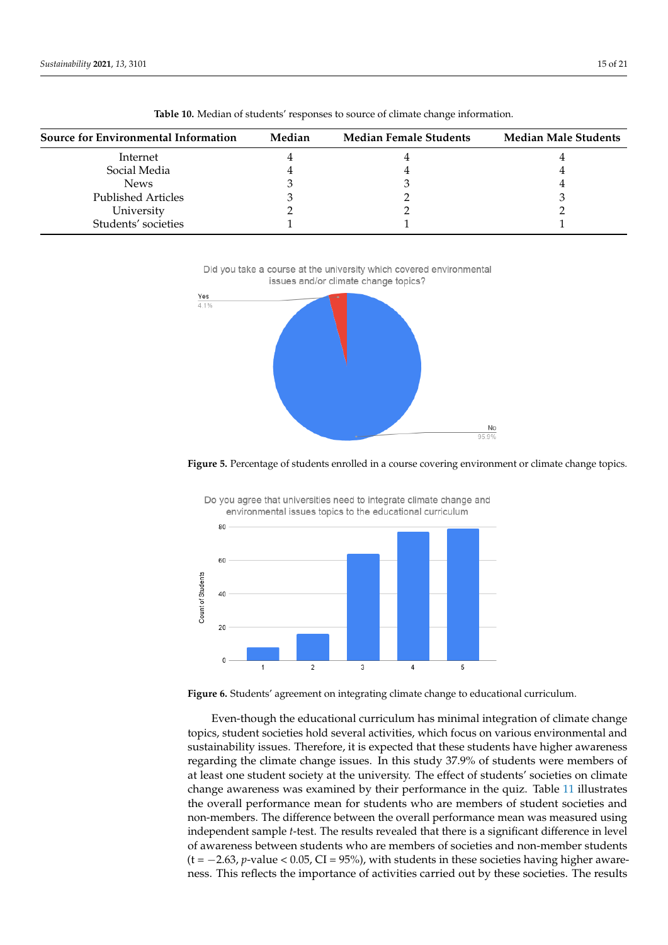<span id="page-14-0"></span>

| Source for Environmental Information | Median | <b>Median Female Students</b> | <b>Median Male Students</b> |
|--------------------------------------|--------|-------------------------------|-----------------------------|
| Internet                             |        |                               |                             |
| Social Media                         |        |                               |                             |
| <b>News</b>                          |        |                               |                             |
| <b>Published Articles</b>            |        |                               |                             |
| Universitv                           |        |                               |                             |

Students' societies 1 1 1

**Table 10.** Median of students' responses to source of climate change information.

<span id="page-14-1"></span>Did you take a course at the university which covered environmental issues and/or climate change topics?



<span id="page-14-2"></span>**Figure 5.** Percentage of students enrolled in a course covering environment or climate change topics.



Do you agree that universities need to integrate climate change and environmental issues topics to the educational curriculum

**Figure 6.** Students' agreement on integrating climate change to educational curriculum.

Even-though the educational curriculum has minimal integration of climate change topics, student societies hold several activities, which focus on various environmental and sustainability issues. Therefore, it is expected that these students have higher awareness regarding the climate change issues. In this study 37.9% of students were members of at least one student society at the university. The effect of students' societies on climate change awareness was examined by their performance in the quiz. Table [11](#page-15-0) illustrates the overall performance mean for students who are members of student societies and non-members. The difference between the overall performance mean was measured using independent sample *t*-test. The results revealed that there is a significant difference in level of awareness between students who are members of societies and non-member students (t = −2.63, *p*-value < 0.05, CI = 95%), with students in these societies having higher awareness. This reflects the importance of activities carried out by these societies. The results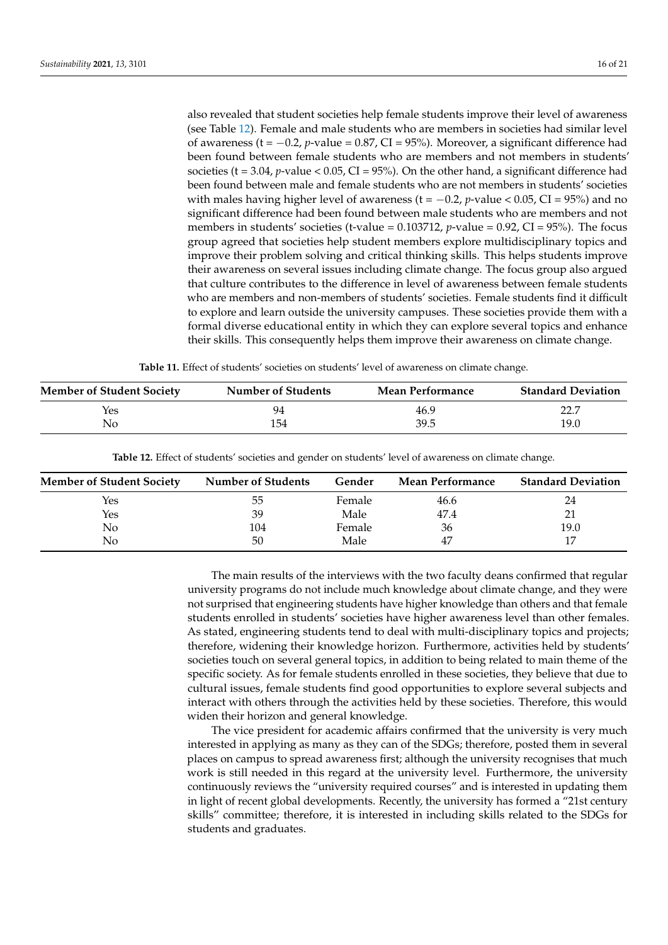also revealed that student societies help female students improve their level of awareness (see Table [12\)](#page-15-1). Female and male students who are members in societies had similar level of awareness (t = −0.2, *p*-value = 0.87, CI = 95%). Moreover, a significant difference had been found between female students who are members and not members in students' societies ( $t = 3.04$ ,  $p$ -value < 0.05, CI = 95%). On the other hand, a significant difference had been found between male and female students who are not members in students' societies with males having higher level of awareness ( $t = -0.2$ ,  $p$ -value < 0.05, CI = 95%) and no significant difference had been found between male students who are members and not members in students' societies (t-value =  $0.103712$ , *p*-value =  $0.92$ , CI =  $95\%$ ). The focus group agreed that societies help student members explore multidisciplinary topics and improve their problem solving and critical thinking skills. This helps students improve their awareness on several issues including climate change. The focus group also argued that culture contributes to the difference in level of awareness between female students who are members and non-members of students' societies. Female students find it difficult to explore and learn outside the university campuses. These societies provide them with a formal diverse educational entity in which they can explore several topics and enhance their skills. This consequently helps them improve their awareness on climate change.

**Table 11.** Effect of students' societies on students' level of awareness on climate change.

<span id="page-15-0"></span>

| <b>Member of Student Society</b> | <b>Number of Students</b> | <b>Mean Performance</b> | <b>Standard Deviation</b> |
|----------------------------------|---------------------------|-------------------------|---------------------------|
| Yes                              | 94                        | 46.9                    | ד רר                      |
| No                               | 154                       | 39.5                    | 19.0                      |

**Table 12.** Effect of students' societies and gender on students' level of awareness on climate change.

<span id="page-15-1"></span>

| <b>Member of Student Society</b> | <b>Number of Students</b> | Gender | <b>Mean Performance</b> | <b>Standard Deviation</b> |
|----------------------------------|---------------------------|--------|-------------------------|---------------------------|
| Yes                              | ხხ                        | Female | 46.6                    | 24                        |
| Yes                              | 39                        | Male   | 47.4                    | 21                        |
| No                               | 104                       | Female | 36                      | 19.0                      |
| No                               | 50                        | Male   | 47                      | 17                        |

The main results of the interviews with the two faculty deans confirmed that regular university programs do not include much knowledge about climate change, and they were not surprised that engineering students have higher knowledge than others and that female students enrolled in students' societies have higher awareness level than other females. As stated, engineering students tend to deal with multi-disciplinary topics and projects; therefore, widening their knowledge horizon. Furthermore, activities held by students' societies touch on several general topics, in addition to being related to main theme of the specific society. As for female students enrolled in these societies, they believe that due to cultural issues, female students find good opportunities to explore several subjects and interact with others through the activities held by these societies. Therefore, this would widen their horizon and general knowledge.

The vice president for academic affairs confirmed that the university is very much interested in applying as many as they can of the SDGs; therefore, posted them in several places on campus to spread awareness first; although the university recognises that much work is still needed in this regard at the university level. Furthermore, the university continuously reviews the "university required courses" and is interested in updating them in light of recent global developments. Recently, the university has formed a "21st century skills" committee; therefore, it is interested in including skills related to the SDGs for students and graduates.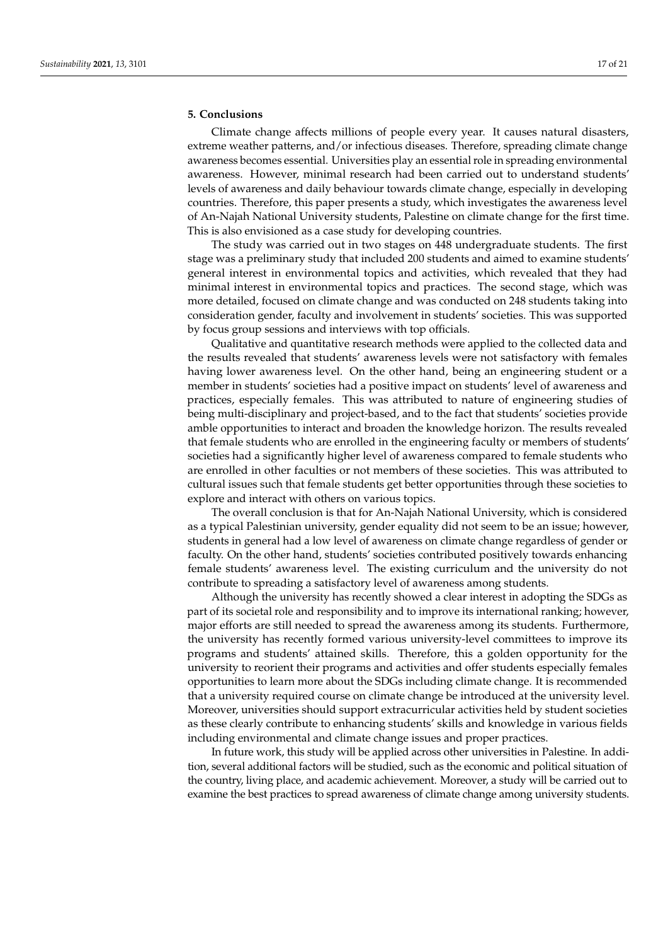## <span id="page-16-0"></span>**5. Conclusions**

Climate change affects millions of people every year. It causes natural disasters, extreme weather patterns, and/or infectious diseases. Therefore, spreading climate change awareness becomes essential. Universities play an essential role in spreading environmental awareness. However, minimal research had been carried out to understand students' levels of awareness and daily behaviour towards climate change, especially in developing countries. Therefore, this paper presents a study, which investigates the awareness level of An-Najah National University students, Palestine on climate change for the first time. This is also envisioned as a case study for developing countries.

The study was carried out in two stages on 448 undergraduate students. The first stage was a preliminary study that included 200 students and aimed to examine students' general interest in environmental topics and activities, which revealed that they had minimal interest in environmental topics and practices. The second stage, which was more detailed, focused on climate change and was conducted on 248 students taking into consideration gender, faculty and involvement in students' societies. This was supported by focus group sessions and interviews with top officials.

Qualitative and quantitative research methods were applied to the collected data and the results revealed that students' awareness levels were not satisfactory with females having lower awareness level. On the other hand, being an engineering student or a member in students' societies had a positive impact on students' level of awareness and practices, especially females. This was attributed to nature of engineering studies of being multi-disciplinary and project-based, and to the fact that students' societies provide amble opportunities to interact and broaden the knowledge horizon. The results revealed that female students who are enrolled in the engineering faculty or members of students' societies had a significantly higher level of awareness compared to female students who are enrolled in other faculties or not members of these societies. This was attributed to cultural issues such that female students get better opportunities through these societies to explore and interact with others on various topics.

The overall conclusion is that for An-Najah National University, which is considered as a typical Palestinian university, gender equality did not seem to be an issue; however, students in general had a low level of awareness on climate change regardless of gender or faculty. On the other hand, students' societies contributed positively towards enhancing female students' awareness level. The existing curriculum and the university do not contribute to spreading a satisfactory level of awareness among students.

Although the university has recently showed a clear interest in adopting the SDGs as part of its societal role and responsibility and to improve its international ranking; however, major efforts are still needed to spread the awareness among its students. Furthermore, the university has recently formed various university-level committees to improve its programs and students' attained skills. Therefore, this a golden opportunity for the university to reorient their programs and activities and offer students especially females opportunities to learn more about the SDGs including climate change. It is recommended that a university required course on climate change be introduced at the university level. Moreover, universities should support extracurricular activities held by student societies as these clearly contribute to enhancing students' skills and knowledge in various fields including environmental and climate change issues and proper practices.

In future work, this study will be applied across other universities in Palestine. In addition, several additional factors will be studied, such as the economic and political situation of the country, living place, and academic achievement. Moreover, a study will be carried out to examine the best practices to spread awareness of climate change among university students.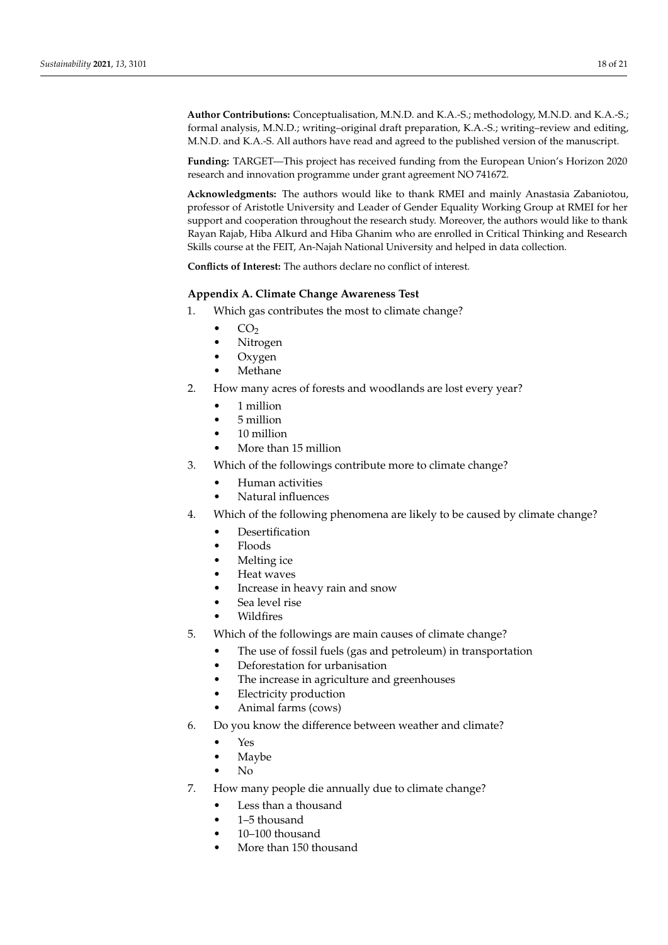**Author Contributions:** Conceptualisation, M.N.D. and K.A.-S.; methodology, M.N.D. and K.A.-S.; formal analysis, M.N.D.; writing–original draft preparation, K.A.-S.; writing–review and editing, M.N.D. and K.A.-S. All authors have read and agreed to the published version of the manuscript.

**Funding:** TARGET—This project has received funding from the European Union's Horizon 2020 research and innovation programme under grant agreement NO 741672.

**Acknowledgments:** The authors would like to thank RMEI and mainly Anastasia Zabaniotou, professor of Aristotle University and Leader of Gender Equality Working Group at RMEI for her support and cooperation throughout the research study. Moreover, the authors would like to thank Rayan Rajab, Hiba Alkurd and Hiba Ghanim who are enrolled in Critical Thinking and Research Skills course at the FEIT, An-Najah National University and helped in data collection.

**Conflicts of Interest:** The authors declare no conflict of interest.

# <span id="page-17-0"></span>**Appendix A. Climate Change Awareness Test**

- 1. Which gas contributes the most to climate change?
	- $CO<sub>2</sub>$
	- Nitrogen
	- Oxygen
	- **Methane**
- 2. How many acres of forests and woodlands are lost every year?
	- 1 million
	- 5 million
	- 10 million
	- More than 15 million
- 3. Which of the followings contribute more to climate change?
	- Human activities
	- Natural influences
- 4. Which of the following phenomena are likely to be caused by climate change?
	- **Desertification**
	- Floods
	- Melting ice
	- Heat waves
	- Increase in heavy rain and snow
	- Sea level rise
	- **Wildfires**
- 5. Which of the followings are main causes of climate change?
	- The use of fossil fuels (gas and petroleum) in transportation
	- Deforestation for urbanisation
	- The increase in agriculture and greenhouses
	- **Electricity production**
	- Animal farms (cows)
- 6. Do you know the difference between weather and climate?
	- Yes
		- **Maybe**
		- No
- 7. How many people die annually due to climate change?
	- Less than a thousand
	- 1–5 thousand
	- 10–100 thousand
	- More than 150 thousand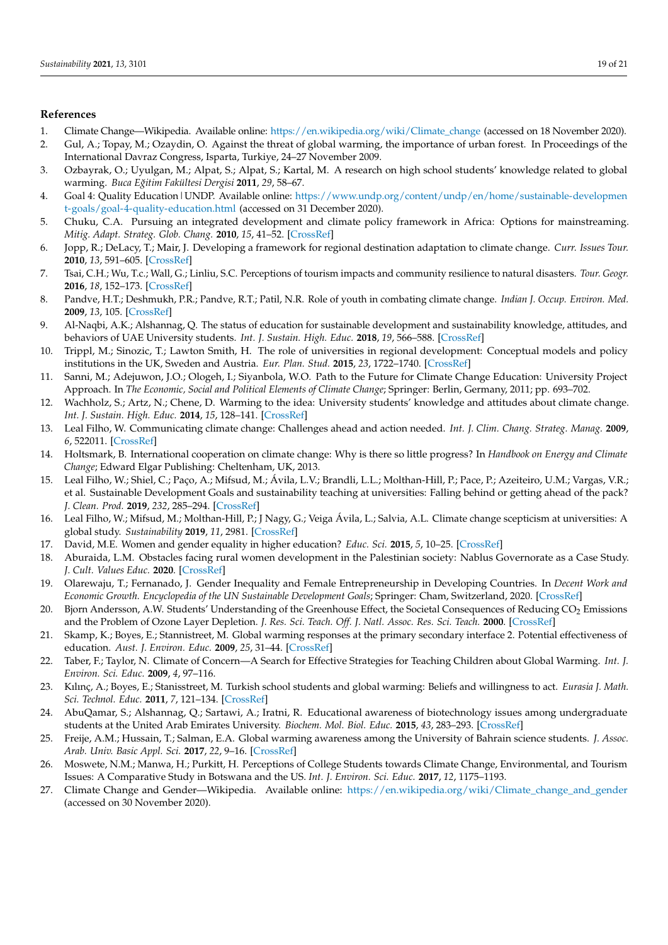#### **References**

- <span id="page-18-0"></span>1. Climate Change—Wikipedia. Available online: [https://en.wikipedia.org/wiki/Climate\\_change](https://en.wikipedia.org/wiki/Climate_change) (accessed on 18 November 2020).
- <span id="page-18-1"></span>2. Gul, A.; Topay, M.; Ozaydin, O. Against the threat of global warming, the importance of urban forest. In Proceedings of the International Davraz Congress, Isparta, Turkiye, 24–27 November 2009.
- <span id="page-18-2"></span>3. Ozbayrak, O.; Uyulgan, M.; Alpat, S.; Alpat, S.; Kartal, M. A research on high school students' knowledge related to global warming. *Buca E ˘gitim Fakültesi Dergisi* **2011**, *29*, 58–67.
- <span id="page-18-3"></span>4. Goal 4: Quality Education|UNDP. Available online: [https://www.undp.org/content/undp/en/home/sustainable-developmen](https://www.undp.org/content/undp/en/home/sustainable-development-goals/goal-4-quality-education.html) [t-goals/goal-4-quality-education.html](https://www.undp.org/content/undp/en/home/sustainable-development-goals/goal-4-quality-education.html) (accessed on 31 December 2020).
- <span id="page-18-4"></span>5. Chuku, C.A. Pursuing an integrated development and climate policy framework in Africa: Options for mainstreaming. *Mitig. Adapt. Strateg. Glob. Chang.* **2010**, *15*, 41–52. [\[CrossRef\]](http://doi.org/10.1007/s11027-009-9203-8)
- 6. Jopp, R.; DeLacy, T.; Mair, J. Developing a framework for regional destination adaptation to climate change. *Curr. Issues Tour.* **2010**, *13*, 591–605. [\[CrossRef\]](http://dx.doi.org/10.1080/13683501003653379)
- <span id="page-18-5"></span>7. Tsai, C.H.; Wu, T.c.; Wall, G.; Linliu, S.C. Perceptions of tourism impacts and community resilience to natural disasters. *Tour. Geogr.* **2016**, *18*, 152–173. [\[CrossRef\]](http://dx.doi.org/10.1080/14616688.2016.1149875)
- <span id="page-18-6"></span>8. Pandve, H.T.; Deshmukh, P.R.; Pandve, R.T.; Patil, N.R. Role of youth in combating climate change. *Indian J. Occup. Environ. Med.* **2009**, *13*, 105. [\[CrossRef\]](http://dx.doi.org/10.4103/0019-5278.55130)
- <span id="page-18-7"></span>9. Al-Naqbi, A.K.; Alshannag, Q. The status of education for sustainable development and sustainability knowledge, attitudes, and behaviors of UAE University students. *Int. J. Sustain. High. Educ.* **2018**, *19*, 566–588. [\[CrossRef\]](http://dx.doi.org/10.1108/IJSHE-06-2017-0091)
- <span id="page-18-8"></span>10. Trippl, M.; Sinozic, T.; Lawton Smith, H. The role of universities in regional development: Conceptual models and policy institutions in the UK, Sweden and Austria. *Eur. Plan. Stud.* **2015**, *23*, 1722–1740. [\[CrossRef\]](http://dx.doi.org/10.1080/09654313.2015.1052782)
- <span id="page-18-22"></span>11. Sanni, M.; Adejuwon, J.O.; Ologeh, I.; Siyanbola, W.O. Path to the Future for Climate Change Education: University Project Approach. In *The Economic, Social and Political Elements of Climate Change*; Springer: Berlin, Germany, 2011; pp. 693–702.
- <span id="page-18-9"></span>12. Wachholz, S.; Artz, N.; Chene, D. Warming to the idea: University students' knowledge and attitudes about climate change. *Int. J. Sustain. High. Educ.* **2014**, *15*, 128–141. [\[CrossRef\]](http://dx.doi.org/10.1108/IJSHE-03-2012-0025)
- <span id="page-18-10"></span>13. Leal Filho, W. Communicating climate change: Challenges ahead and action needed. *Int. J. Clim. Chang. Strateg. Manag.* **2009**, *6*, 522011. [\[CrossRef\]](http://dx.doi.org/10.1108/17568690910934363)
- 14. Holtsmark, B. International cooperation on climate change: Why is there so little progress? In *Handbook on Energy and Climate Change*; Edward Elgar Publishing: Cheltenham, UK, 2013.
- <span id="page-18-11"></span>15. Leal Filho, W.; Shiel, C.; Paço, A.; Mifsud, M.; Ávila, L.V.; Brandli, L.L.; Molthan-Hill, P.; Pace, P.; Azeiteiro, U.M.; Vargas, V.R.; et al. Sustainable Development Goals and sustainability teaching at universities: Falling behind or getting ahead of the pack? *J. Clean. Prod.* **2019**, *232*, 285–294. [\[CrossRef\]](http://dx.doi.org/10.1016/j.jclepro.2019.05.309)
- <span id="page-18-12"></span>16. Leal Filho, W.; Mifsud, M.; Molthan-Hill, P.; J Nagy, G.; Veiga Ávila, L.; Salvia, A.L. Climate change scepticism at universities: A global study. *Sustainability* **2019**, *11*, 2981. [\[CrossRef\]](http://dx.doi.org/10.3390/su11102981)
- <span id="page-18-13"></span>17. David, M.E. Women and gender equality in higher education? *Educ. Sci.* **2015**, *5*, 10–25. [\[CrossRef\]](http://dx.doi.org/10.3390/educsci5010010)
- <span id="page-18-14"></span>18. Aburaida, L.M. Obstacles facing rural women development in the Palestinian society: Nablus Governorate as a Case Study. *J. Cult. Values Educ.* **2020**. [\[CrossRef\]](http://dx.doi.org/10.46303/jcve.2020.1)
- <span id="page-18-15"></span>19. Olarewaju, T.; Fernanado, J. Gender Inequality and Female Entrepreneurship in Developing Countries. In *Decent Work and Economic Growth. Encyclopedia of the UN Sustainable Development Goals*; Springer: Cham, Switzerland, 2020. [\[CrossRef\]](http://dx.doi.org/10.1007/978-3-319-71058-7_92-1)
- <span id="page-18-16"></span>20. Bjorn Andersson, A.W. Students' Understanding of the Greenhouse Effect, the Societal Consequences of Reducing CO<sub>2</sub> Emissions and the Problem of Ozone Layer Depletion. *J. Res. Sci. Teach. Off. J. Natl. Assoc. Res. Sci. Teach.* **2000**. [\[CrossRef\]](http://dx.doi.org/10.1002/1098-2736(200012)37:10<1096::AID-TEA4>3.0.CO;2-8)
- 21. Skamp, K.; Boyes, E.; Stannistreet, M. Global warming responses at the primary secondary interface 2. Potential effectiveness of education. *Aust. J. Environ. Educ.* **2009**, *25*, 31–44. [\[CrossRef\]](http://dx.doi.org/10.1017/S0814062600000380)
- 22. Taber, F.; Taylor, N. Climate of Concern—A Search for Effective Strategies for Teaching Children about Global Warming. *Int. J. Environ. Sci. Educ.* **2009**, *4*, 97–116.
- <span id="page-18-17"></span>23. Kılınç, A.; Boyes, E.; Stanisstreet, M. Turkish school students and global warming: Beliefs and willingness to act. *Eurasia J. Math. Sci. Technol. Educ.* **2011**, *7*, 121–134. [\[CrossRef\]](http://dx.doi.org/10.12973/ejmste/75187)
- <span id="page-18-18"></span>24. AbuQamar, S.; Alshannag, Q.; Sartawi, A.; Iratni, R. Educational awareness of biotechnology issues among undergraduate students at the United Arab Emirates University. *Biochem. Mol. Biol. Educ.* **2015**, *43*, 283–293. [\[CrossRef\]](http://dx.doi.org/10.1002/bmb.20863)
- <span id="page-18-19"></span>25. Freije, A.M.; Hussain, T.; Salman, E.A. Global warming awareness among the University of Bahrain science students. *J. Assoc. Arab. Univ. Basic Appl. Sci.* **2017**, *22*, 9–16. [\[CrossRef\]](http://dx.doi.org/10.1016/j.jaubas.2016.02.002)
- <span id="page-18-20"></span>26. Moswete, N.M.; Manwa, H.; Purkitt, H. Perceptions of College Students towards Climate Change, Environmental, and Tourism Issues: A Comparative Study in Botswana and the US. *Int. J. Environ. Sci. Educ.* **2017**, *12*, 1175–1193.
- <span id="page-18-21"></span>27. Climate Change and Gender—Wikipedia. Available online: [https://en.wikipedia.org/wiki/Climate\\_change\\_and\\_gender](https://en.wikipedia.org/wiki/Climate_change_and_gender) (accessed on 30 November 2020).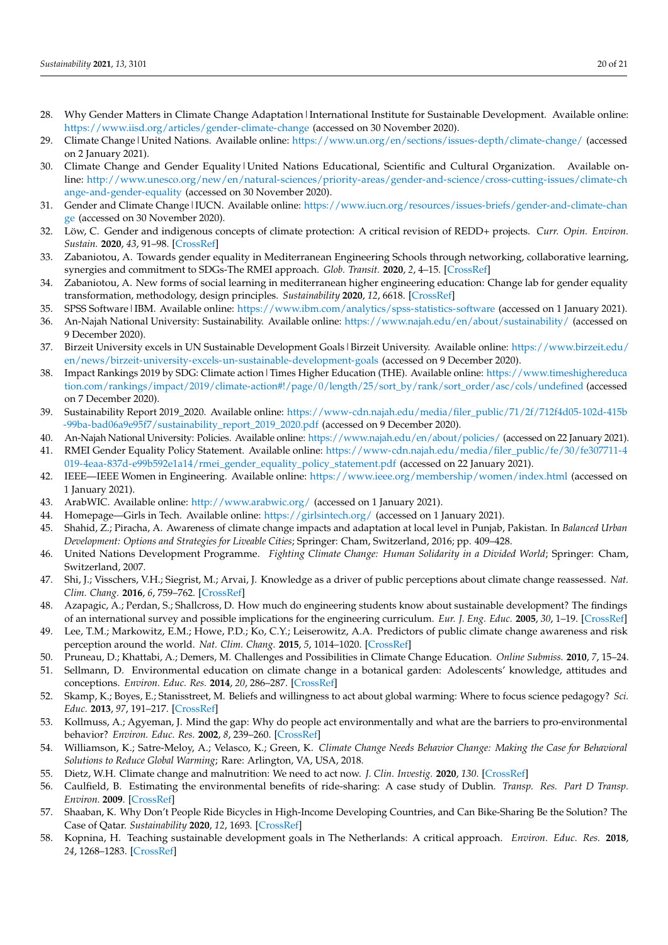- <span id="page-19-0"></span>28. Why Gender Matters in Climate Change Adaptation | International Institute for Sustainable Development. Available online: <https://www.iisd.org/articles/gender-climate-change> (accessed on 30 November 2020).
- <span id="page-19-1"></span>29. Climate Change|United Nations. Available online: <https://www.un.org/en/sections/issues-depth/climate-change/> (accessed on 2 January 2021).
- <span id="page-19-2"></span>30. Climate Change and Gender Equality | United Nations Educational, Scientific and Cultural Organization. Available online: [http://www.unesco.org/new/en/natural-sciences/priority-areas/gender-and-science/cross-cutting-issues/climate-ch](http://www.unesco.org/new/en/natural-sciences/priority-areas/gender-and-science/cross-cutting-issues/climate-change-and-gender-equality) [ange-and-gender-equality](http://www.unesco.org/new/en/natural-sciences/priority-areas/gender-and-science/cross-cutting-issues/climate-change-and-gender-equality) (accessed on 30 November 2020).
- <span id="page-19-3"></span>31. Gender and Climate Change|IUCN. Available online: [https://www.iucn.org/resources/issues-briefs/gender-and-climate-chan](https://www.iucn.org/resources/issues-briefs/gender-and-climate-change) [ge](https://www.iucn.org/resources/issues-briefs/gender-and-climate-change) (accessed on 30 November 2020).
- <span id="page-19-4"></span>32. Löw, C. Gender and indigenous concepts of climate protection: A critical revision of REDD+ projects. *Curr. Opin. Environ. Sustain.* **2020**, *43*, 91–98. [\[CrossRef\]](http://dx.doi.org/10.1016/j.cosust.2020.03.002)
- <span id="page-19-5"></span>33. Zabaniotou, A. Towards gender equality in Mediterranean Engineering Schools through networking, collaborative learning, synergies and commitment to SDGs-The RMEI approach. *Glob. Transit.* **2020**, *2*, 4–15. [\[CrossRef\]](http://dx.doi.org/10.1016/j.glt.2019.12.001)
- <span id="page-19-6"></span>34. Zabaniotou, A. New forms of social learning in mediterranean higher engineering education: Change lab for gender equality transformation, methodology, design principles. *Sustainability* **2020**, *12*, 6618. [\[CrossRef\]](http://dx.doi.org/10.3390/su12166618)
- <span id="page-19-7"></span>35. SPSS Software|IBM. Available online: <https://www.ibm.com/analytics/spss-statistics-software> (accessed on 1 January 2021).
- <span id="page-19-8"></span>36. An-Najah National University: Sustainability. Available online: <https://www.najah.edu/en/about/sustainability/> (accessed on 9 December 2020).
- <span id="page-19-9"></span>37. Birzeit University excels in UN Sustainable Development Goals|Birzeit University. Available online: [https://www.birzeit.edu/](https://www.birzeit.edu/en/news/birzeit-university-excels-un-sustainable-development-goals) [en/news/birzeit-university-excels-un-sustainable-development-goals](https://www.birzeit.edu/en/news/birzeit-university-excels-un-sustainable-development-goals) (accessed on 9 December 2020).
- <span id="page-19-10"></span>38. Impact Rankings 2019 by SDG: Climate action | Times Higher Education (THE). Available online: [https://www.timeshighereduca](https://www.timeshighereducation.com/rankings/impact/2019/climate-action#!/page/0/length/25/sort_by/rank/sort_order/asc/cols/undefined) [tion.com/rankings/impact/2019/climate-action#!/page/0/length/25/sort\\_by/rank/sort\\_order/asc/cols/undefined](https://www.timeshighereducation.com/rankings/impact/2019/climate-action#!/page/0/length/25/sort_by/rank/sort_order/asc/cols/undefined) (accessed on 7 December 2020).
- <span id="page-19-11"></span>39. Sustainability Report 2019\_2020. Available online: [https://www-cdn.najah.edu/media/filer\\_public/71/2f/712f4d05-102d-415b](https://www-cdn.najah.edu/media/filer_public/71/2f/712f4d05-102d-415b-99ba-bad06a9e95f7/sustainability_report_2019_2020.pdf) [-99ba-bad06a9e95f7/sustainability\\_report\\_2019\\_2020.pdf](https://www-cdn.najah.edu/media/filer_public/71/2f/712f4d05-102d-415b-99ba-bad06a9e95f7/sustainability_report_2019_2020.pdf) (accessed on 9 December 2020).
- <span id="page-19-12"></span>40. An-Najah National University: Policies. Available online: <https://www.najah.edu/en/about/policies/> (accessed on 22 January 2021).
- <span id="page-19-13"></span>41. RMEI Gender Equality Policy Statement. Available online: [https://www-cdn.najah.edu/media/filer\\_public/fe/30/fe307711-4](https://www-cdn.najah.edu/media/filer_public/fe/30/fe307711-4019-4eaa-837d-e99b592e1a14/rmei_gender_equality_policy_statement.pdf) [019-4eaa-837d-e99b592e1a14/rmei\\_gender\\_equality\\_policy\\_statement.pdf](https://www-cdn.najah.edu/media/filer_public/fe/30/fe307711-4019-4eaa-837d-e99b592e1a14/rmei_gender_equality_policy_statement.pdf) (accessed on 22 January 2021).
- <span id="page-19-14"></span>42. IEEE—IEEE Women in Engineering. Available online: <https://www.ieee.org/membership/women/index.html> (accessed on 1 January 2021).
- <span id="page-19-15"></span>43. ArabWIC. Available online: <http://www.arabwic.org/> (accessed on 1 January 2021).
- <span id="page-19-16"></span>44. Homepage—Girls in Tech. Available online: <https://girlsintech.org/> (accessed on 1 January 2021).
- <span id="page-19-17"></span>45. Shahid, Z.; Piracha, A. Awareness of climate change impacts and adaptation at local level in Punjab, Pakistan. In *Balanced Urban Development: Options and Strategies for Liveable Cities*; Springer: Cham, Switzerland, 2016; pp. 409–428.
- <span id="page-19-18"></span>46. United Nations Development Programme. *Fighting Climate Change: Human Solidarity in a Divided World*; Springer: Cham, Switzerland, 2007.
- <span id="page-19-19"></span>47. Shi, J.; Visschers, V.H.; Siegrist, M.; Arvai, J. Knowledge as a driver of public perceptions about climate change reassessed. *Nat. Clim. Chang.* **2016**, *6*, 759–762. [\[CrossRef\]](http://dx.doi.org/10.1038/nclimate2997)
- <span id="page-19-20"></span>48. Azapagic, A.; Perdan, S.; Shallcross, D. How much do engineering students know about sustainable development? The findings of an international survey and possible implications for the engineering curriculum. *Eur. J. Eng. Educ.* **2005**, *30*, 1–19. [\[CrossRef\]](http://dx.doi.org/10.1080/03043790512331313804)
- <span id="page-19-21"></span>49. Lee, T.M.; Markowitz, E.M.; Howe, P.D.; Ko, C.Y.; Leiserowitz, A.A. Predictors of public climate change awareness and risk perception around the world. *Nat. Clim. Chang.* **2015**, *5*, 1014–1020. [\[CrossRef\]](http://dx.doi.org/10.1038/nclimate2728)
- <span id="page-19-22"></span>50. Pruneau, D.; Khattabi, A.; Demers, M. Challenges and Possibilities in Climate Change Education. *Online Submiss.* **2010**, *7*, 15–24.
- <span id="page-19-23"></span>51. Sellmann, D. Environmental education on climate change in a botanical garden: Adolescents' knowledge, attitudes and conceptions. *Environ. Educ. Res.* **2014**, *20*, 286–287. [\[CrossRef\]](http://dx.doi.org/10.1080/13504622.2013.870130)
- <span id="page-19-24"></span>52. Skamp, K.; Boyes, E.; Stanisstreet, M. Beliefs and willingness to act about global warming: Where to focus science pedagogy? *Sci. Educ.* **2013**, *97*, 191–217. [\[CrossRef\]](http://dx.doi.org/10.1002/sce.21050)
- <span id="page-19-25"></span>53. Kollmuss, A.; Agyeman, J. Mind the gap: Why do people act environmentally and what are the barriers to pro-environmental behavior? *Environ. Educ. Res.* **2002**, *8*, 239–260. [\[CrossRef\]](http://dx.doi.org/10.1080/13504620220145401)
- <span id="page-19-26"></span>54. Williamson, K.; Satre-Meloy, A.; Velasco, K.; Green, K. *Climate Change Needs Behavior Change: Making the Case for Behavioral Solutions to Reduce Global Warming*; Rare: Arlington, VA, USA, 2018.
- <span id="page-19-27"></span>55. Dietz, W.H. Climate change and malnutrition: We need to act now. *J. Clin. Investig.* **2020**, *130*. [\[CrossRef\]](http://dx.doi.org/10.1172/JCI135004)
- <span id="page-19-28"></span>56. Caulfield, B. Estimating the environmental benefits of ride-sharing: A case study of Dublin. *Transp. Res. Part D Transp. Environ.* **2009**. [\[CrossRef\]](http://dx.doi.org/10.1016/j.trd.2009.07.008)
- <span id="page-19-29"></span>57. Shaaban, K. Why Don't People Ride Bicycles in High-Income Developing Countries, and Can Bike-Sharing Be the Solution? The Case of Qatar. *Sustainability* **2020**, *12*, 1693. [\[CrossRef\]](http://dx.doi.org/10.3390/su12041693)
- <span id="page-19-30"></span>58. Kopnina, H. Teaching sustainable development goals in The Netherlands: A critical approach. *Environ. Educ. Res.* **2018**, *24*, 1268–1283. [\[CrossRef\]](http://dx.doi.org/10.1080/13504622.2017.1303819)